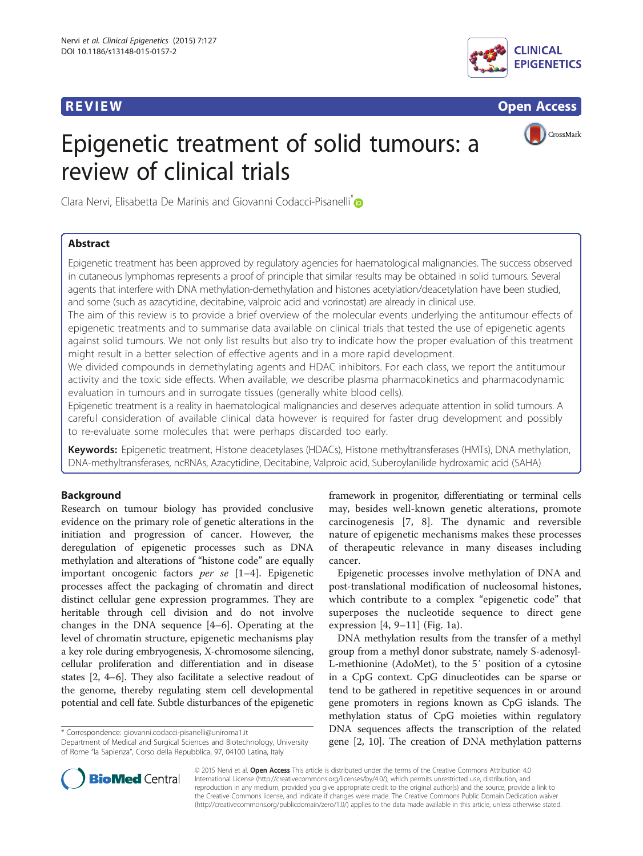

**REVIEW CONSTRUCTION CONSTRUCTION CONSTRUCTS** 

CrossMark

# Epigenetic treatment of solid tumours: a review of clinical trials

Clara Nervi, Elisabetta De Marinis and Giovanni Codacci-Pisanelli<sup>®</sup>

#### Abstract

Epigenetic treatment has been approved by regulatory agencies for haematological malignancies. The success observed in cutaneous lymphomas represents a proof of principle that similar results may be obtained in solid tumours. Several agents that interfere with DNA methylation-demethylation and histones acetylation/deacetylation have been studied, and some (such as azacytidine, decitabine, valproic acid and vorinostat) are already in clinical use.

The aim of this review is to provide a brief overview of the molecular events underlying the antitumour effects of epigenetic treatments and to summarise data available on clinical trials that tested the use of epigenetic agents against solid tumours. We not only list results but also try to indicate how the proper evaluation of this treatment might result in a better selection of effective agents and in a more rapid development.

We divided compounds in demethylating agents and HDAC inhibitors. For each class, we report the antitumour activity and the toxic side effects. When available, we describe plasma pharmacokinetics and pharmacodynamic evaluation in tumours and in surrogate tissues (generally white blood cells).

Epigenetic treatment is a reality in haematological malignancies and deserves adequate attention in solid tumours. A careful consideration of available clinical data however is required for faster drug development and possibly to re-evaluate some molecules that were perhaps discarded too early.

Keywords: Epigenetic treatment, Histone deacetylases (HDACs), Histone methyltransferases (HMTs), DNA methylation, DNA-methyltransferases, ncRNAs, Azacytidine, Decitabine, Valproic acid, Suberoylanilide hydroxamic acid (SAHA)

#### Background

Research on tumour biology has provided conclusive evidence on the primary role of genetic alterations in the initiation and progression of cancer. However, the deregulation of epigenetic processes such as DNA methylation and alterations of "histone code" are equally important oncogenic factors per se [[1](#page-15-0)–[4\]](#page-15-0). Epigenetic processes affect the packaging of chromatin and direct distinct cellular gene expression programmes. They are heritable through cell division and do not involve changes in the DNA sequence [\[4](#page-15-0)–[6](#page-15-0)]. Operating at the level of chromatin structure, epigenetic mechanisms play a key role during embryogenesis, X-chromosome silencing, cellular proliferation and differentiation and in disease states [[2, 4](#page-15-0)–[6](#page-15-0)]. They also facilitate a selective readout of the genome, thereby regulating stem cell developmental potential and cell fate. Subtle disturbances of the epigenetic

\* Correspondence: [giovanni.codacci-pisanelli@uniroma1.it](mailto:giovanni.codacci-pisanelli@uniroma1.it)

Department of Medical and Surgical Sciences and Biotechnology, University of Rome "la Sapienza", Corso della Repubblica, 97, 04100 Latina, Italy

framework in progenitor, differentiating or terminal cells may, besides well-known genetic alterations, promote carcinogenesis [[7, 8\]](#page-15-0). The dynamic and reversible nature of epigenetic mechanisms makes these processes of therapeutic relevance in many diseases including cancer.

Epigenetic processes involve methylation of DNA and post-translational modification of nucleosomal histones, which contribute to a complex "epigenetic code" that superposes the nucleotide sequence to direct gene expression [[4](#page-15-0), [9](#page-15-0)–[11](#page-15-0)] (Fig. [1a\)](#page-1-0).

DNA methylation results from the transfer of a methyl group from a methyl donor substrate, namely S-adenosyl-L-methionine (AdoMet), to the 5′ position of a cytosine in a CpG context. CpG dinucleotides can be sparse or tend to be gathered in repetitive sequences in or around gene promoters in regions known as CpG islands. The methylation status of CpG moieties within regulatory DNA sequences affects the transcription of the related gene [\[2](#page-15-0), [10](#page-15-0)]. The creation of DNA methylation patterns



© 2015 Nervi et al. Open Access This article is distributed under the terms of the Creative Commons Attribution 4.0 International License [\(http://creativecommons.org/licenses/by/4.0/](http://creativecommons.org/licenses/by/4.0/)), which permits unrestricted use, distribution, and reproduction in any medium, provided you give appropriate credit to the original author(s) and the source, provide a link to the Creative Commons license, and indicate if changes were made. The Creative Commons Public Domain Dedication waiver [\(http://creativecommons.org/publicdomain/zero/1.0/](http://creativecommons.org/publicdomain/zero/1.0/)) applies to the data made available in this article, unless otherwise stated.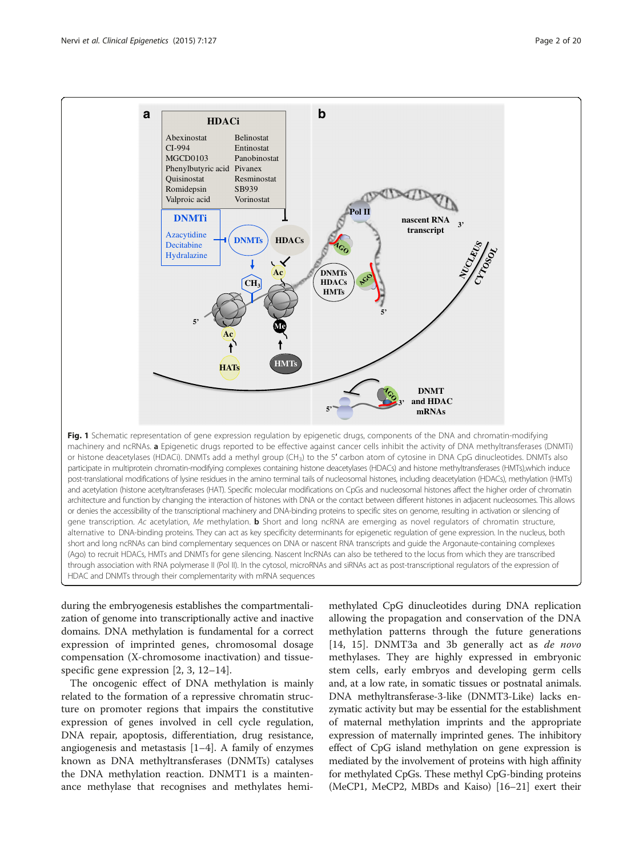<span id="page-1-0"></span>

machinery and ncRNAs. a Epigenetic drugs reported to be effective against cancer cells inhibit the activity of DNA methyltransferases (DNMTi) or histone deacetylases (HDACi). DNMTs add a methyl group (CH<sub>3</sub>) to the 5' carbon atom of cytosine in DNA CpG dinucleotides. DNMTs also participate in multiprotein chromatin-modifying complexes containing histone deacetylases (HDACs) and histone methyltransferases (HMTs),which induce post-translational modifications of lysine residues in the amino terminal tails of nucleosomal histones, including deacetylation (HDACs), methylation (HMTs) and acetylation (histone acetyltransferases (HAT). Specific molecular modifications on CpGs and nucleosomal histones affect the higher order of chromatin architecture and function by changing the interaction of histones with DNA or the contact between different histones in adjacent nucleosomes. This allows or denies the accessibility of the transcriptional machinery and DNA-binding proteins to specific sites on genome, resulting in activation or silencing of gene transcription. Ac acetylation, Me methylation. **b** Short and long ncRNA are emerging as novel regulators of chromatin structure, alternative to DNA-binding proteins. They can act as key specificity determinants for epigenetic regulation of gene expression. In the nucleus, both short and long ncRNAs can bind complementary sequences on DNA or nascent RNA transcripts and guide the Argonaute-containing complexes (Ago) to recruit HDACs, HMTs and DNMTs for gene silencing. Nascent lncRNAs can also be tethered to the locus from which they are transcribed through association with RNA polymerase II (Pol II). In the cytosol, microRNAs and siRNAs act as post-transcriptional regulators of the expression of HDAC and DNMTs through their complementarity with mRNA sequences

during the embryogenesis establishes the compartmentalization of genome into transcriptionally active and inactive domains. DNA methylation is fundamental for a correct expression of imprinted genes, chromosomal dosage compensation (X-chromosome inactivation) and tissuespecific gene expression [[2](#page-15-0), [3](#page-15-0), [12](#page-15-0)–[14](#page-15-0)].

The oncogenic effect of DNA methylation is mainly related to the formation of a repressive chromatin structure on promoter regions that impairs the constitutive expression of genes involved in cell cycle regulation, DNA repair, apoptosis, differentiation, drug resistance, angiogenesis and metastasis [\[1](#page-15-0)–[4](#page-15-0)]. A family of enzymes known as DNA methyltransferases (DNMTs) catalyses the DNA methylation reaction. DNMT1 is a maintenance methylase that recognises and methylates hemimethylated CpG dinucleotides during DNA replication allowing the propagation and conservation of the DNA methylation patterns through the future generations [[14, 15\]](#page-15-0). DNMT3a and 3b generally act as *de novo* methylases. They are highly expressed in embryonic stem cells, early embryos and developing germ cells and, at a low rate, in somatic tissues or postnatal animals. DNA methyltransferase-3-like (DNMT3-Like) lacks enzymatic activity but may be essential for the establishment of maternal methylation imprints and the appropriate expression of maternally imprinted genes. The inhibitory effect of CpG island methylation on gene expression is mediated by the involvement of proteins with high affinity for methylated CpGs. These methyl CpG-binding proteins (MeCP1, MeCP2, MBDs and Kaiso) [[16](#page-15-0)–[21\]](#page-16-0) exert their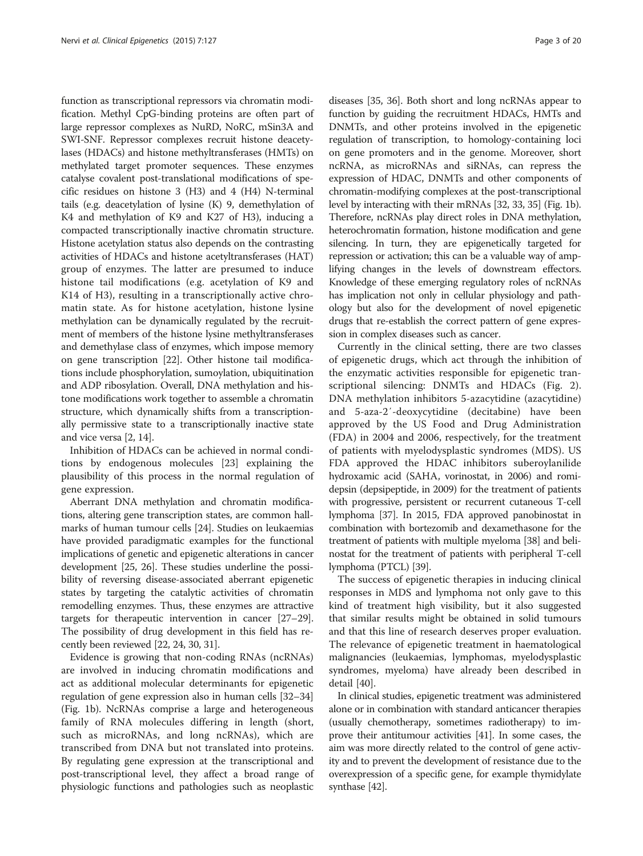function as transcriptional repressors via chromatin modification. Methyl CpG-binding proteins are often part of large repressor complexes as NuRD, NoRC, mSin3A and SWI-SNF. Repressor complexes recruit histone deacetylases (HDACs) and histone methyltransferases (HMTs) on methylated target promoter sequences. These enzymes catalyse covalent post-translational modifications of specific residues on histone 3 (H3) and 4 (H4) N-terminal tails (e.g. deacetylation of lysine (K) 9, demethylation of K4 and methylation of K9 and K27 of H3), inducing a compacted transcriptionally inactive chromatin structure. Histone acetylation status also depends on the contrasting activities of HDACs and histone acetyltransferases (HAT) group of enzymes. The latter are presumed to induce histone tail modifications (e.g. acetylation of K9 and K14 of H3), resulting in a transcriptionally active chromatin state. As for histone acetylation, histone lysine methylation can be dynamically regulated by the recruitment of members of the histone lysine methyltransferases and demethylase class of enzymes, which impose memory on gene transcription [\[22\]](#page-16-0). Other histone tail modifications include phosphorylation, sumoylation, ubiquitination and ADP ribosylation. Overall, DNA methylation and histone modifications work together to assemble a chromatin structure, which dynamically shifts from a transcriptionally permissive state to a transcriptionally inactive state and vice versa [\[2](#page-15-0), [14\]](#page-15-0).

Inhibition of HDACs can be achieved in normal conditions by endogenous molecules [\[23\]](#page-16-0) explaining the plausibility of this process in the normal regulation of gene expression.

Aberrant DNA methylation and chromatin modifications, altering gene transcription states, are common hallmarks of human tumour cells [\[24\]](#page-16-0). Studies on leukaemias have provided paradigmatic examples for the functional implications of genetic and epigenetic alterations in cancer development [\[25, 26](#page-16-0)]. These studies underline the possibility of reversing disease-associated aberrant epigenetic states by targeting the catalytic activities of chromatin remodelling enzymes. Thus, these enzymes are attractive targets for therapeutic intervention in cancer [\[27](#page-16-0)–[29](#page-16-0)]. The possibility of drug development in this field has recently been reviewed [[22, 24, 30](#page-16-0), [31](#page-16-0)].

Evidence is growing that non-coding RNAs (ncRNAs) are involved in inducing chromatin modifications and act as additional molecular determinants for epigenetic regulation of gene expression also in human cells [\[32](#page-16-0)–[34](#page-16-0)] (Fig. [1b](#page-1-0)). NcRNAs comprise a large and heterogeneous family of RNA molecules differing in length (short, such as microRNAs, and long ncRNAs), which are transcribed from DNA but not translated into proteins. By regulating gene expression at the transcriptional and post-transcriptional level, they affect a broad range of physiologic functions and pathologies such as neoplastic

diseases [\[35, 36\]](#page-16-0). Both short and long ncRNAs appear to function by guiding the recruitment HDACs, HMTs and DNMTs, and other proteins involved in the epigenetic regulation of transcription, to homology-containing loci on gene promoters and in the genome. Moreover, short ncRNA, as microRNAs and siRNAs, can repress the expression of HDAC, DNMTs and other components of chromatin-modifying complexes at the post-transcriptional level by interacting with their mRNAs [[32, 33](#page-16-0), [35](#page-16-0)] (Fig. [1b](#page-1-0)). Therefore, ncRNAs play direct roles in DNA methylation, heterochromatin formation, histone modification and gene silencing. In turn, they are epigenetically targeted for repression or activation; this can be a valuable way of amplifying changes in the levels of downstream effectors. Knowledge of these emerging regulatory roles of ncRNAs has implication not only in cellular physiology and pathology but also for the development of novel epigenetic drugs that re-establish the correct pattern of gene expression in complex diseases such as cancer.

Currently in the clinical setting, there are two classes of epigenetic drugs, which act through the inhibition of the enzymatic activities responsible for epigenetic transcriptional silencing: DNMTs and HDACs (Fig. [2](#page-3-0)). DNA methylation inhibitors 5-azacytidine (azacytidine) and 5-aza-2′-deoxycytidine (decitabine) have been approved by the US Food and Drug Administration (FDA) in 2004 and 2006, respectively, for the treatment of patients with myelodysplastic syndromes (MDS). US FDA approved the HDAC inhibitors suberoylanilide hydroxamic acid (SAHA, vorinostat, in 2006) and romidepsin (depsipeptide, in 2009) for the treatment of patients with progressive, persistent or recurrent cutaneous T-cell lymphoma [\[37\]](#page-16-0). In 2015, FDA approved panobinostat in combination with bortezomib and dexamethasone for the treatment of patients with multiple myeloma [\[38\]](#page-16-0) and belinostat for the treatment of patients with peripheral T-cell lymphoma (PTCL) [\[39](#page-16-0)].

The success of epigenetic therapies in inducing clinical responses in MDS and lymphoma not only gave to this kind of treatment high visibility, but it also suggested that similar results might be obtained in solid tumours and that this line of research deserves proper evaluation. The relevance of epigenetic treatment in haematological malignancies (leukaemias, lymphomas, myelodysplastic syndromes, myeloma) have already been described in detail [\[40\]](#page-16-0).

In clinical studies, epigenetic treatment was administered alone or in combination with standard anticancer therapies (usually chemotherapy, sometimes radiotherapy) to improve their antitumour activities [[41](#page-16-0)]. In some cases, the aim was more directly related to the control of gene activity and to prevent the development of resistance due to the overexpression of a specific gene, for example thymidylate synthase [\[42\]](#page-16-0).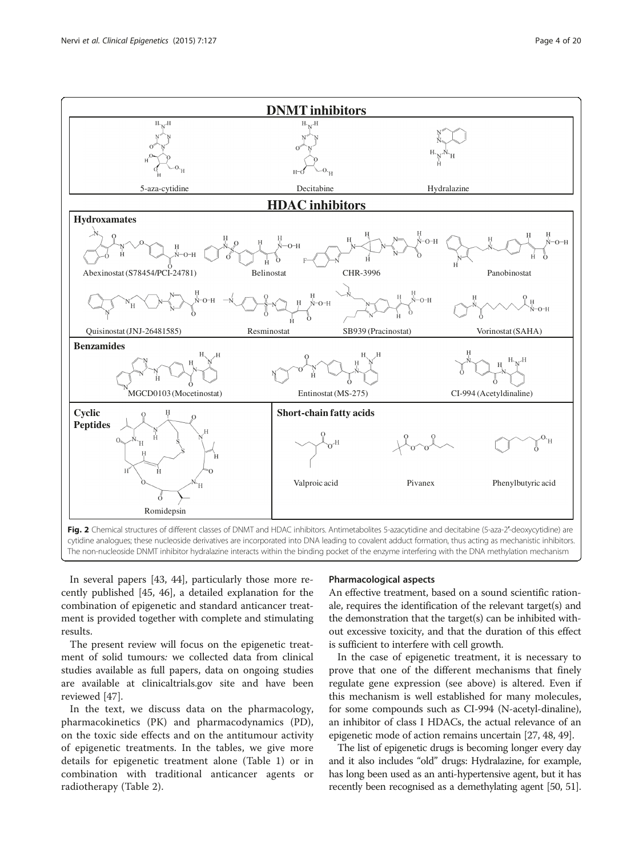<span id="page-3-0"></span>

In several papers [[43, 44](#page-16-0)], particularly those more recently published [[45](#page-16-0), [46](#page-16-0)], a detailed explanation for the combination of epigenetic and standard anticancer treatment is provided together with complete and stimulating results.

The present review will focus on the epigenetic treatment of solid tumours: we collected data from clinical studies available as full papers, data on ongoing studies are available at clinicaltrials.gov site and have been reviewed [[47\]](#page-16-0).

In the text, we discuss data on the pharmacology, pharmacokinetics (PK) and pharmacodynamics (PD), on the toxic side effects and on the antitumour activity of epigenetic treatments. In the tables, we give more details for epigenetic treatment alone (Table [1\)](#page-4-0) or in combination with traditional anticancer agents or radiotherapy (Table [2](#page-8-0)).

#### Pharmacological aspects

An effective treatment, based on a sound scientific rationale, requires the identification of the relevant target(s) and the demonstration that the target(s) can be inhibited without excessive toxicity, and that the duration of this effect is sufficient to interfere with cell growth.

In the case of epigenetic treatment, it is necessary to prove that one of the different mechanisms that finely regulate gene expression (see above) is altered. Even if this mechanism is well established for many molecules, for some compounds such as CI-994 (N-acetyl-dinaline), an inhibitor of class I HDACs, the actual relevance of an epigenetic mode of action remains uncertain [[27](#page-16-0), [48, 49\]](#page-16-0).

The list of epigenetic drugs is becoming longer every day and it also includes "old" drugs: Hydralazine, for example, has long been used as an anti-hypertensive agent, but it has recently been recognised as a demethylating agent [\[50](#page-16-0), [51](#page-16-0)].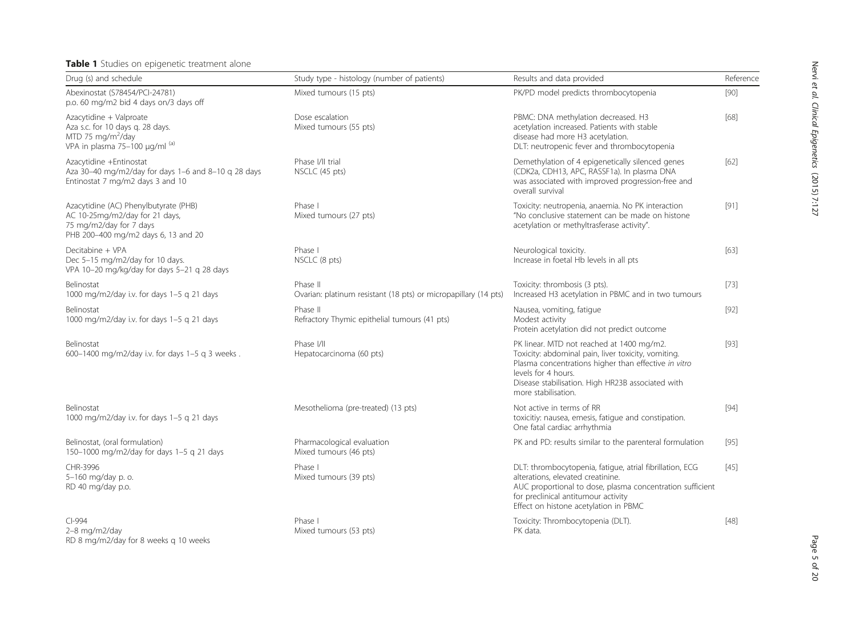#### <span id="page-4-0"></span>Table 1 Studies on epigenetic treatment alone

RD 8 mg/m2/day for 8 weeks q 10 weeks

| Drug (s) and schedule                                                                                                                     | Study type - histology (number of patients)                                 | Results and data provided                                                                                                                                                                                                                                   | Reference |
|-------------------------------------------------------------------------------------------------------------------------------------------|-----------------------------------------------------------------------------|-------------------------------------------------------------------------------------------------------------------------------------------------------------------------------------------------------------------------------------------------------------|-----------|
| Abexinostat (S78454/PCI-24781)<br>p.o. 60 mg/m2 bid 4 days on/3 days off                                                                  | Mixed tumours (15 pts)                                                      | PK/PD model predicts thrombocytopenia                                                                                                                                                                                                                       | $[90]$    |
| Azacytidine + Valproate<br>Aza s.c. for 10 days q. 28 days.<br>MTD 75 mg/m <sup>2</sup> /day<br>VPA in plasma 75-100 µg/ml (a)            | Dose escalation<br>Mixed tumours (55 pts)                                   | PBMC: DNA methylation decreased. H3<br>acetylation increased. Patients with stable<br>disease had more H3 acetylation.<br>DLT: neutropenic fever and thrombocytopenia                                                                                       | [68]      |
| Azacytidine +Entinostat<br>Aza 30-40 mg/m2/day for days 1-6 and 8-10 q 28 days<br>Entinostat 7 mg/m2 days 3 and 10                        | Phase I/II trial<br>NSCLC (45 pts)                                          | Demethylation of 4 epigenetically silenced genes<br>(CDK2a, CDH13, APC, RASSF1a). In plasma DNA<br>was associated with improved progression-free and<br>overall survival                                                                                    | $[62]$    |
| Azacytidine (AC) Phenylbutyrate (PHB)<br>AC 10-25mg/m2/day for 21 days,<br>75 mg/m2/day for 7 days<br>PHB 200-400 mg/m2 days 6, 13 and 20 | Phase I<br>Mixed tumours (27 pts)                                           | Toxicity: neutropenia, anaemia. No PK interaction<br>"No conclusive statement can be made on histone<br>acetylation or methyltrasferase activity".                                                                                                          | $[91]$    |
| Decitabine + VPA<br>Dec 5-15 mg/m2/day for 10 days.<br>VPA 10-20 mg/kg/day for days 5-21 q 28 days                                        | Phase I<br>NSCLC (8 pts)                                                    | Neurological toxicity.<br>Increase in foetal Hb levels in all pts                                                                                                                                                                                           | $[63]$    |
| Belinostat<br>1000 mg/m2/day i.v. for days 1-5 g 21 days                                                                                  | Phase II<br>Ovarian: platinum resistant (18 pts) or micropapillary (14 pts) | Toxicity: thrombosis (3 pts).<br>Increased H3 acetylation in PBMC and in two tumours                                                                                                                                                                        | [73]      |
| Belinostat<br>1000 mg/m2/day i.v. for days 1-5 g 21 days                                                                                  | Phase II<br>Refractory Thymic epithelial tumours (41 pts)                   | Nausea, vomiting, fatique<br>Modest activity<br>Protein acetylation did not predict outcome                                                                                                                                                                 | $[92]$    |
| Belinostat<br>600-1400 mg/m2/day i.v. for days 1-5 g 3 weeks.                                                                             | Phase I/II<br>Hepatocarcinoma (60 pts)                                      | PK linear. MTD not reached at 1400 mg/m2.<br>Toxicity: abdominal pain, liver toxicity, vomiting.<br>Plasma concentrations higher than effective in vitro<br>levels for 4 hours.<br>Disease stabilisation. High HR23B associated with<br>more stabilisation. | $[93]$    |
| Belinostat<br>1000 mg/m2/day i.v. for days 1-5 g 21 days                                                                                  | Mesothelioma (pre-treated) (13 pts)                                         | Not active in terms of RR<br>toxicitiy: nausea, emesis, fatique and constipation.<br>One fatal cardiac arrhythmia                                                                                                                                           | $[94]$    |
| Belinostat, (oral formulation)<br>150-1000 mg/m2/day for days 1-5 g 21 days                                                               | Pharmacological evaluation<br>Mixed tumours (46 pts)                        | PK and PD: results similar to the parenteral formulation                                                                                                                                                                                                    | $[95]$    |
| CHR-3996<br>5-160 mg/day p. o.<br>RD 40 mg/day p.o.                                                                                       | Phase I<br>Mixed tumours (39 pts)                                           | DLT: thrombocytopenia, fatique, atrial fibrillation, ECG<br>alterations, elevated creatinine.<br>AUC proportional to dose, plasma concentration sufficient<br>for preclinical antitumour activity<br>Effect on histone acetylation in PBMC                  | $[45]$    |
| $Cl-994$<br>2-8 mg/m2/day                                                                                                                 | Phase I<br>Mixed tumours (53 pts)                                           | Toxicity: Thrombocytopenia (DLT).<br>PK data.                                                                                                                                                                                                               | $[48]$    |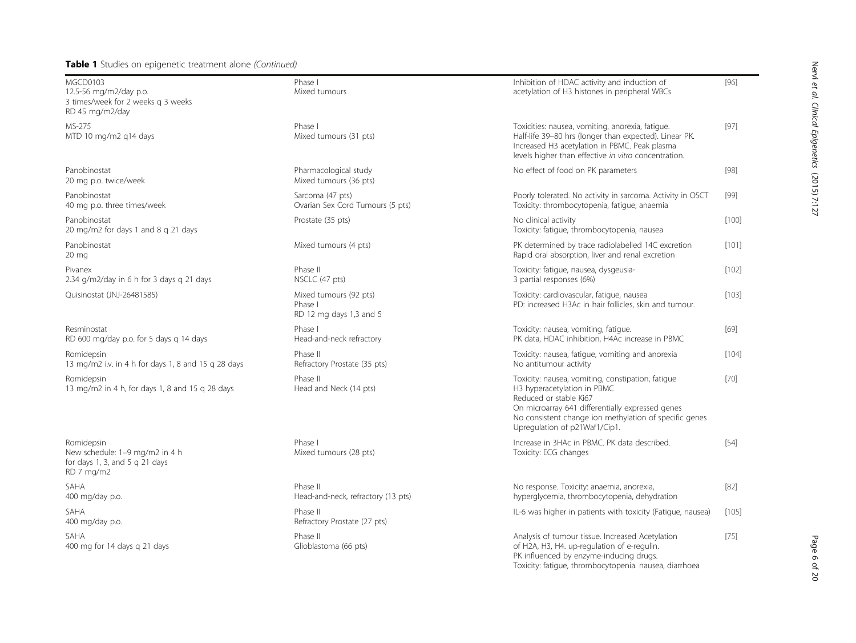#### Table 1 Studies on epigenetic treatment alone (Continued)

MGCD0103 12.5-56 mg/m2/day p.o. 3 times/week for 2 weeks q 3 weeks RD 45 mg/m2/day

MS-275 MTD 10 mg/m2 q14 days

Panobinostat 20 mg p.o. twice/week

Panobinostat 40 mg p.o. three times/week

Panobinostat 20 mg/m2 for days 1 and 8 q 21 days

Panobinostat 20 mg Pivanex 2.34 g/m2/day in 6 h for 3 days q 21 days

Quisinostat (JNJ-26481585)

Resminostat RD 600 mg/day p.o. for 5 days q 14 days

Romidepsin 13 mg/m2 i.v. in 4 h for days 1, 8 and 15 q 28 days

Romidepsin 13 mg/m2 in 4 h, for days 1, 8 and 15 q 28 days

Romidepsin New schedule: 1–9 mg/m2 in 4 h for days 1, 3, and 5  $q$  21 days RD 7 mg/m2

SAHA 400 mg/day p.o.

SAHA 400 mg/day p.o.

SAHA 400 mg for 14 days q 21 days

| he <i>(Continued)</i>                                        |                                                                                                                                                                                                                                                           |         |
|--------------------------------------------------------------|-----------------------------------------------------------------------------------------------------------------------------------------------------------------------------------------------------------------------------------------------------------|---------|
| Phase I<br>Mixed tumours                                     | Inhibition of HDAC activity and induction of<br>acetylation of H3 histones in peripheral WBCs                                                                                                                                                             | $[96]$  |
| Phase I<br>Mixed tumours (31 pts)                            | Toxicities: nausea, vomiting, anorexia, fatique.<br>Half-life 39-80 hrs (longer than expected). Linear PK.<br>Increased H3 acetylation in PBMC. Peak plasma<br>levels higher than effective in vitro concentration.                                       | $[97]$  |
| Pharmacological study<br>Mixed tumours (36 pts)              | No effect of food on PK parameters                                                                                                                                                                                                                        | $[98]$  |
| Sarcoma (47 pts)<br>Ovarian Sex Cord Tumours (5 pts)         | Poorly tolerated. No activity in sarcoma. Activity in OSCT<br>Toxicity: thrombocytopenia, fatique, anaemia                                                                                                                                                | $[99]$  |
| Prostate (35 pts)                                            | No clinical activity<br>Toxicity: fatigue, thrombocytopenia, nausea                                                                                                                                                                                       | $[100]$ |
| Mixed tumours (4 pts)                                        | PK determined by trace radiolabelled 14C excretion<br>Rapid oral absorption, liver and renal excretion                                                                                                                                                    | [101]   |
| Phase II<br>NSCLC (47 pts)                                   | Toxicity: fatique, nausea, dysgeusia-<br>3 partial responses (6%)                                                                                                                                                                                         | [102]   |
| Mixed tumours (92 pts)<br>Phase I<br>RD 12 mg days 1,3 and 5 | Toxicity: cardiovascular, fatique, nausea<br>PD: increased H3Ac in hair follicles, skin and tumour.                                                                                                                                                       | [103]   |
| Phase I<br>Head-and-neck refractory                          | Toxicity: nausea, vomiting, fatique.<br>PK data, HDAC inhibition, H4Ac increase in PBMC                                                                                                                                                                   | [69]    |
| Phase II<br>Refractory Prostate (35 pts)                     | Toxicity: nausea, fatigue, vomiting and anorexia<br>No antitumour activity                                                                                                                                                                                | $[104]$ |
| Phase II<br>Head and Neck (14 pts)                           | Toxicity: nausea, vomiting, constipation, fatigue<br>H3 hyperacetylation in PBMC<br>Reduced or stable Ki67<br>On microarray 641 differentially expressed genes<br>No consistent change ion methylation of specific genes<br>Upregulation of p21Waf1/Cip1. | $[70]$  |
| Phase I<br>Mixed tumours (28 pts)                            | Increase in 3HAc in PBMC. PK data described.<br>Toxicity: ECG changes                                                                                                                                                                                     | $[54]$  |
| Phase II<br>Head-and-neck, refractory (13 pts)               | No response. Toxicity: anaemia, anorexia,<br>hyperglycemia, thrombocytopenia, dehydration                                                                                                                                                                 | $[82]$  |
| Phase II<br>Refractory Prostate (27 pts)                     | IL-6 was higher in patients with toxicity (Fatigue, nausea)                                                                                                                                                                                               | [105]   |
| Phase II<br>Glioblastoma (66 pts)                            | Analysis of tumour tissue. Increased Acetylation<br>of H2A, H3, H4. up-regulation of e-regulin.<br>PK influenced by enzyme-inducing drugs.                                                                                                                | $[75]$  |

Toxicity: fatigue, thrombocytopenia. nausea, diarrhoea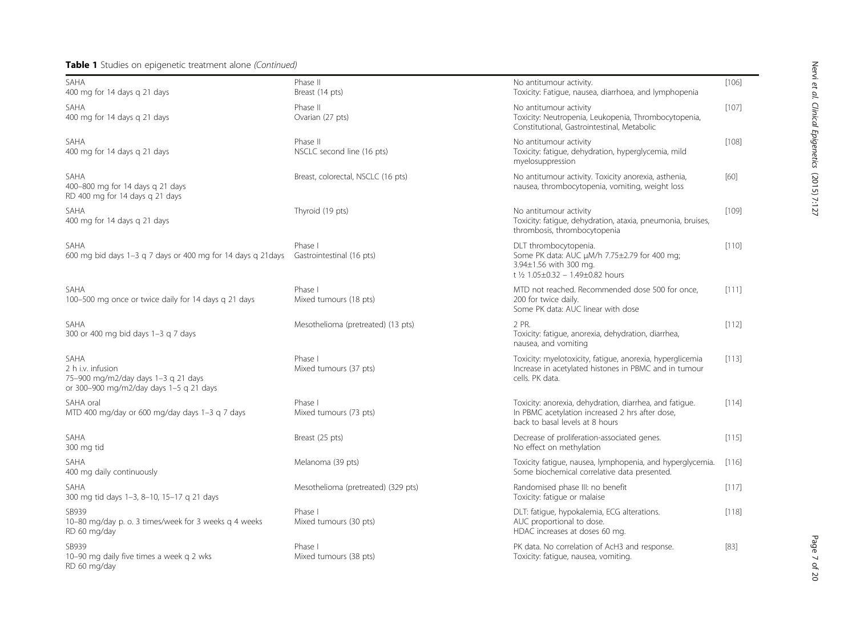### Table 1 Studies on epigenetic treatment alone (Continued)

RD 60 mg/day

| SAHA<br>400 mg for 14 days g 21 days                                                                               | Phase II<br>Breast (14 pts)            | No antitumour activity.<br>Toxicity: Fatigue, nausea, diarrhoea, and lymphopenia                                                              | $[106]$ |
|--------------------------------------------------------------------------------------------------------------------|----------------------------------------|-----------------------------------------------------------------------------------------------------------------------------------------------|---------|
| <b>SAHA</b><br>400 mg for 14 days g 21 days                                                                        | Phase II<br>Ovarian (27 pts)           | No antitumour activity<br>Toxicity: Neutropenia, Leukopenia, Thrombocytopenia,<br>Constitutional, Gastrointestinal, Metabolic                 | [107]   |
| SAHA<br>400 mg for 14 days g 21 days                                                                               | Phase II<br>NSCLC second line (16 pts) | No antitumour activity<br>Toxicity: fatigue, dehydration, hyperglycemia, mild<br>myelosuppression                                             | $[108]$ |
| <b>SAHA</b><br>400-800 mg for 14 days g 21 days<br>RD 400 mg for 14 days g 21 days                                 | Breast, colorectal, NSCLC (16 pts)     | No antitumour activity. Toxicity anorexia, asthenia,<br>nausea, thrombocytopenia, vomiting, weight loss                                       | [60]    |
| SAHA<br>400 mg for 14 days g 21 days                                                                               | Thyroid (19 pts)                       | No antitumour activity<br>Toxicity: fatique, dehydration, ataxia, pneumonia, bruises,<br>thrombosis, thrombocytopenia                         | [109]   |
| SAHA<br>600 mg bid days 1-3 g 7 days or 400 mg for 14 days g 21 days                                               | Phase I<br>Gastrointestinal (16 pts)   | DLT thrombocytopenia.<br>Some PK data: AUC µM/h 7.75±2.79 for 400 mg;<br>3.94±1.56 with 300 mg.<br>t 1/2 1.05±0.32 - 1.49±0.82 hours          | $[110]$ |
| SAHA<br>100-500 mg once or twice daily for 14 days g 21 days                                                       | Phase I<br>Mixed tumours (18 pts)      | MTD not reached. Recommended dose 500 for once,<br>200 for twice daily.<br>Some PK data: AUC linear with dose                                 | [111]   |
| SAHA<br>300 or 400 mg bid days 1-3 g 7 days                                                                        | Mesothelioma (pretreated) (13 pts)     | 2 PR.<br>Toxicity: fatigue, anorexia, dehydration, diarrhea,<br>nausea, and vomiting                                                          | $[112]$ |
| <b>SAHA</b><br>2 h i.v. infusion<br>75-900 mg/m2/day days 1-3 g 21 days<br>or 300-900 mg/m2/day days 1-5 q 21 days | Phase I<br>Mixed tumours (37 pts)      | Toxicity: myelotoxicity, fatigue, anorexia, hyperglicemia<br>Increase in acetylated histones in PBMC and in tumour<br>cells. PK data.         | [113]   |
| SAHA oral<br>MTD 400 mg/day or 600 mg/day days 1-3 g 7 days                                                        | Phase I<br>Mixed tumours (73 pts)      | Toxicity: anorexia, dehydration, diarrhea, and fatique.<br>In PBMC acetylation increased 2 hrs after dose,<br>back to basal levels at 8 hours | [114]   |
| SAHA<br>300 mg tid                                                                                                 | Breast (25 pts)                        | Decrease of proliferation-associated genes.<br>No effect on methylation                                                                       | [115]   |
| SAHA<br>400 mg daily continuously                                                                                  | Melanoma (39 pts)                      | Toxicity fatigue, nausea, lymphopenia, and hyperglycemia.<br>Some biochemical correlative data presented.                                     | [116]   |
| SAHA<br>300 mg tid days 1-3, 8-10, 15-17 g 21 days                                                                 | Mesothelioma (pretreated) (329 pts)    | Randomised phase III: no benefit<br>Toxicity: fatigue or malaise                                                                              | [117]   |
| SB939<br>10-80 mg/day p. o. 3 times/week for 3 weeks q 4 weeks<br>RD 60 mg/day                                     | Phase I<br>Mixed tumours (30 pts)      | DLT: fatigue, hypokalemia, ECG alterations.<br>AUC proportional to dose.<br>HDAC increases at doses 60 mg.                                    | [118]   |
| SB939<br>10-90 mg daily five times a week g 2 wks                                                                  | Phase I<br>Mixed tumours (38 pts)      | PK data. No correlation of AcH3 and response.<br>Toxicity: fatigue, nausea, vomiting.                                                         | $[83]$  |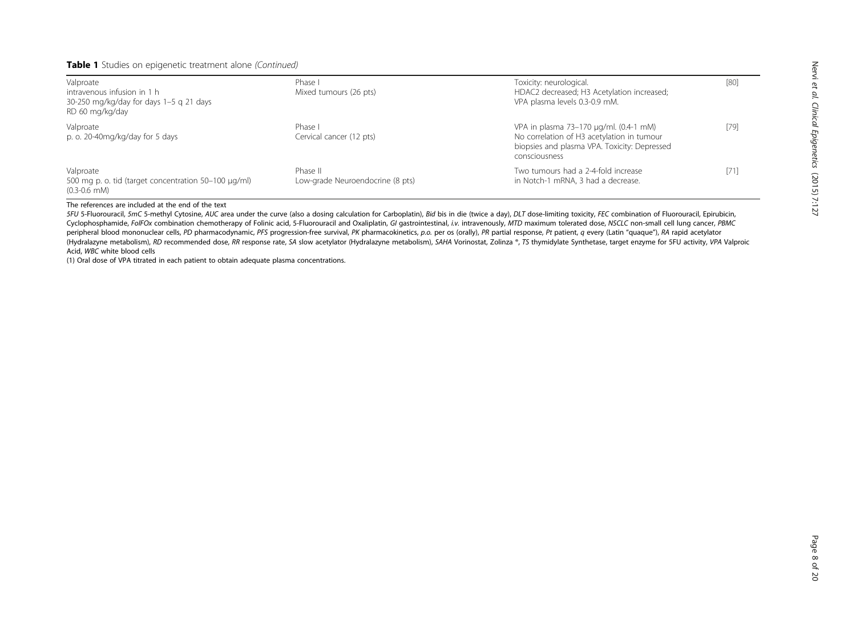#### Table 1 Studies on epigenetic treatment alone (Continued)

| Valproate<br>intravenous infusion in 1 h<br>30-250 mg/kg/day for days 1-5 g 21 days<br>RD 60 mg/kg/day | Phase I<br>Mixed tumours (26 pts)            | Toxicity: neurological.<br>HDAC2 decreased; H3 Acetylation increased;<br>VPA plasma levels 0.3-0.9 mM.                                                | $[80]$ |
|--------------------------------------------------------------------------------------------------------|----------------------------------------------|-------------------------------------------------------------------------------------------------------------------------------------------------------|--------|
| Valproate<br>p. o. 20-40mg/kg/day for 5 days                                                           | Phase I<br>Cervical cancer (12 pts)          | VPA in plasma 73-170 µg/ml. (0.4-1 mM)<br>No correlation of H3 acetylation in tumour<br>biopsies and plasma VPA. Toxicity: Depressed<br>consciousness | $[79]$ |
| Valproate<br>500 mg p. o. tid (target concentration 50-100 µg/ml)<br>$(0.3 - 0.6$ mM)                  | Phase II<br>Low-grade Neuroendocrine (8 pts) | Two tumours had a 2-4-fold increase<br>in Notch-1 mRNA, 3 had a decrease.                                                                             | $[71]$ |

The references are included at the end of the text

5FU 5-Fluorouracil, 5mC 5-methyl Cytosine, AUC area under the curve (also a dosing calculation for Carboplatin), Bid bis in die (twice a day), DLT dose-limiting toxicity, FEC combination of Fluorouracil, Epirubicin, Cyclophosphamide, FolFOx combination chemotherapy of Folinic acid, 5-Fluorouracil and Oxaliplatin, GI gastrointestinal, i.v. intravenously, MTD maximum tolerated dose, NSCLC non-small cell lung cancer, PBMC peripheral blood mononuclear cells, PD pharmacodynamic, PFS progression-free survival, PK pharmacokinetics, p.o. per os (orally), PR partial response, Pt patient, q every (Latin "quaque"), RA rapid acetylator (Hydralazyne metabolism), RD recommended dose, RR response rate, SA slow acetylator (Hydralazyne metabolism), SAHA Vorinostat, Zolinza ®, TS thymidylate Synthetase, target enzyme for 5FU activity, VPA Valproic Acid, WBC white blood cells

(1) Oral dose of VPA titrated in each patient to obtain adequate plasma concentrations.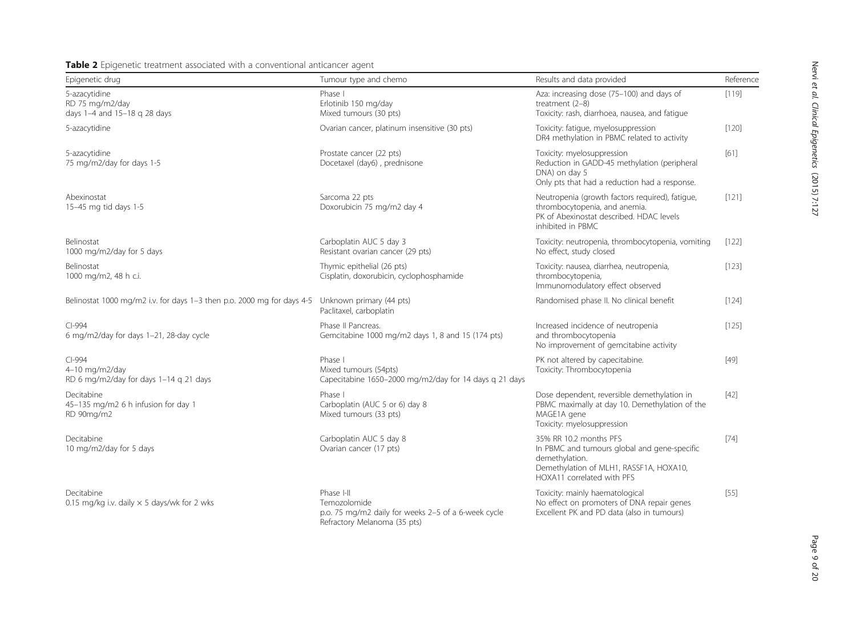Nervi et al. Clinical Epigenetics(2015) 7:127

<span id="page-8-0"></span>

| . .<br>Epigenetic drug                                                 | Tumour type and chemo                                                                                             | Results and data provided                                                                                                                                         | Reference |
|------------------------------------------------------------------------|-------------------------------------------------------------------------------------------------------------------|-------------------------------------------------------------------------------------------------------------------------------------------------------------------|-----------|
| 5-azacytidine<br>RD 75 mg/m2/day<br>days 1-4 and 15-18 q 28 days       | Phase I<br>Erlotinib 150 mg/day<br>Mixed tumours (30 pts)                                                         | Aza: increasing dose (75-100) and days of<br>treatment $(2-8)$<br>Toxicity: rash, diarrhoea, nausea, and fatique                                                  | [119]     |
| 5-azacytidine                                                          | Ovarian cancer, platinum insensitive (30 pts)                                                                     | Toxicity: fatique, myelosuppression<br>DR4 methylation in PBMC related to activity                                                                                | [120]     |
| 5-azacytidine<br>75 mg/m2/day for days 1-5                             | Prostate cancer (22 pts)<br>Docetaxel (day6), prednisone                                                          | Toxicity: myelosuppression<br>Reduction in GADD-45 methylation (peripheral<br>DNA) on day 5<br>Only pts that had a reduction had a response.                      | [61]      |
| Abexinostat<br>15-45 mg tid days 1-5                                   | Sarcoma 22 pts<br>Doxorubicin 75 mg/m2 day 4                                                                      | Neutropenia (growth factors required), fatique,<br>thrombocytopenia, and anemia.<br>PK of Abexinostat described. HDAC levels<br>inhibited in PBMC                 | [121]     |
| Belinostat<br>1000 mg/m2/day for 5 days                                | Carboplatin AUC 5 day 3<br>Resistant ovarian cancer (29 pts)                                                      | Toxicity: neutropenia, thrombocytopenia, vomiting<br>No effect, study closed                                                                                      | [122]     |
| Belinostat<br>1000 mg/m2, 48 h c.i.                                    | Thymic epithelial (26 pts)<br>Cisplatin, doxorubicin, cyclophosphamide                                            | Toxicity: nausea, diarrhea, neutropenia,<br>thrombocytopenia,<br>Immunomodulatory effect observed                                                                 | [123]     |
| Belinostat 1000 mg/m2 i.v. for days 1-3 then p.o. 2000 mg for days 4-5 | Unknown primary (44 pts)<br>Paclitaxel, carboplatin                                                               | Randomised phase II. No clinical benefit                                                                                                                          | [124]     |
| $Cl-994$<br>6 mg/m2/day for days 1-21, 28-day cycle                    | Phase II Pancreas.<br>Gemcitabine 1000 mg/m2 days 1, 8 and 15 (174 pts)                                           | Increased incidence of neutropenia<br>and thrombocytopenia<br>No improvement of gemcitabine activity                                                              | [125]     |
| $Cl-994$<br>4-10 mg/m2/day<br>RD 6 mg/m2/day for days 1-14 q 21 days   | Phase I<br>Mixed tumours (54pts)<br>Capecitabine 1650-2000 mg/m2/day for 14 days q 21 days                        | PK not altered by capecitabine.<br>Toxicity: Thrombocytopenia                                                                                                     | $[49]$    |
| Decitabine<br>45-135 mg/m2 6 h infusion for day 1<br>RD 90mg/m2        | Phase I<br>Carboplatin (AUC 5 or 6) day 8<br>Mixed tumours (33 pts)                                               | Dose dependent, reversible demethylation in<br>PBMC maximally at day 10. Demethylation of the<br>MAGE1A gene<br>Toxicity: myelosuppression                        | $[42]$    |
| Decitabine<br>10 mg/m2/day for 5 days                                  | Carboplatin AUC 5 day 8<br>Ovarian cancer (17 pts)                                                                | 35% RR 10.2 months PFS<br>In PBMC and tumours global and gene-specific<br>demethylation.<br>Demethylation of MLH1, RASSF1A, HOXA10,<br>HOXA11 correlated with PFS | $[74]$    |
| Decitabine<br>0.15 mg/kg i.v. daily $\times$ 5 days/wk for 2 wks       | Phase I-II<br>Temozolomide<br>p.o. 75 mg/m2 daily for weeks 2-5 of a 6-week cycle<br>Refractory Melanoma (35 pts) | Toxicity: mainly haematological<br>No effect on promoters of DNA repair genes<br>Excellent PK and PD data (also in tumours)                                       | $[55]$    |

Page 9 of 20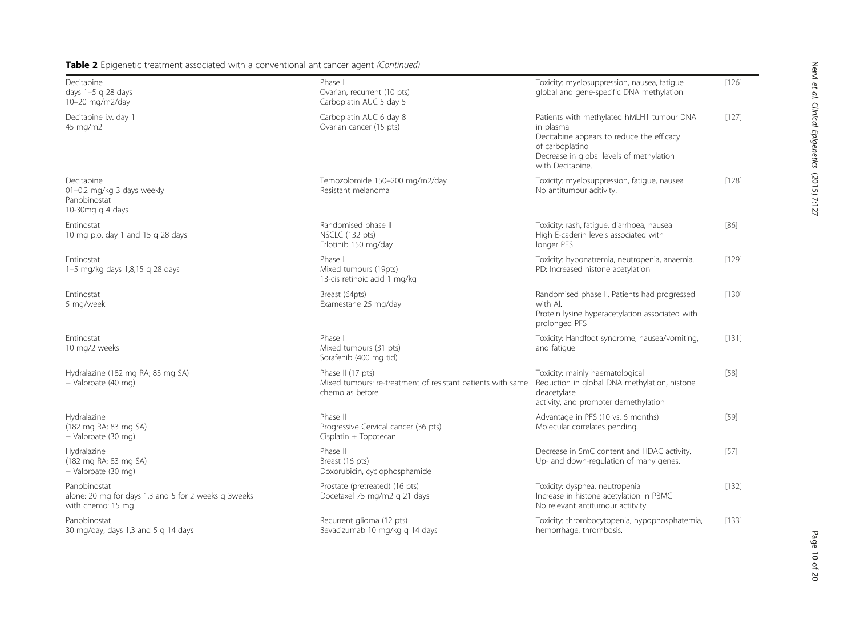| Decitabine<br>days 1-5 q 28 days<br>10-20 mg/m2/day                                       | Phase I<br>Ovarian, recurrent (10 pts)<br>Carboplatin AUC 5 day 5                                   | Toxicity: myelosuppression, nausea, fatique<br>global and gene-specific DNA methylation                                                                                                | $[126]$ |
|-------------------------------------------------------------------------------------------|-----------------------------------------------------------------------------------------------------|----------------------------------------------------------------------------------------------------------------------------------------------------------------------------------------|---------|
| Decitabine i.v. day 1<br>45 mg/m2                                                         | Carboplatin AUC 6 day 8<br>Ovarian cancer (15 pts)                                                  | Patients with methylated hMLH1 tumour DNA<br>in plasma<br>Decitabine appears to reduce the efficacy<br>of carboplatino<br>Decrease in global levels of methylation<br>with Decitabine. | [127]   |
| Decitabine<br>01-0.2 mg/kg 3 days weekly<br>Panobinostat<br>10-30mg g 4 days              | Temozolomide 150-200 mg/m2/day<br>Resistant melanoma                                                | Toxicity: myelosuppression, fatique, nausea<br>No antitumour acitivity.                                                                                                                | [128]   |
| Entinostat<br>10 mg p.o. day 1 and 15 g 28 days                                           | Randomised phase II<br>NSCLC (132 pts)<br>Erlotinib 150 mg/day                                      | Toxicity: rash, fatique, diarrhoea, nausea<br>High E-caderin levels associated with<br>longer PFS                                                                                      | [86]    |
| Entinostat<br>1-5 mg/kg days 1,8,15 g 28 days                                             | Phase I<br>Mixed tumours (19pts)<br>13-cis retinoic acid 1 mg/kg                                    | Toxicity: hyponatremia, neutropenia, anaemia.<br>PD: Increased histone acetylation                                                                                                     | [129]   |
| Entinostat<br>5 mg/week                                                                   | Breast (64pts)<br>Examestane 25 mg/day                                                              | Randomised phase II. Patients had progressed<br>with Al.<br>Protein lysine hyperacetylation associated with<br>prolonged PFS                                                           | $[130]$ |
| Entinostat<br>10 mg/2 weeks                                                               | Phase I<br>Mixed tumours (31 pts)<br>Sorafenib (400 mg tid)                                         | Toxicity: Handfoot syndrome, nausea/vomiting,<br>and fatigue                                                                                                                           | [131]   |
| Hydralazine (182 mg RA; 83 mg SA)<br>+ Valproate (40 mg)                                  | Phase II (17 pts)<br>Mixed tumours: re-treatment of resistant patients with same<br>chemo as before | Toxicity: mainly haematological<br>Reduction in global DNA methylation, histone<br>deacetylase<br>activity, and promoter demethylation                                                 | $[58]$  |
| Hydralazine<br>(182 mg RA; 83 mg SA)<br>+ Valproate (30 mg)                               | Phase II<br>Progressive Cervical cancer (36 pts)<br>Cisplatin + Topotecan                           | Advantage in PFS (10 vs. 6 months)<br>Molecular correlates pending.                                                                                                                    | [59]    |
| Hydralazine<br>(182 mg RA; 83 mg SA)<br>+ Valproate (30 mg)                               | Phase II<br>Breast (16 pts)<br>Doxorubicin, cyclophosphamide                                        | Decrease in 5mC content and HDAC activity.<br>Up- and down-regulation of many genes.                                                                                                   | [57]    |
| Panobinostat<br>alone: 20 mg for days 1,3 and 5 for 2 weeks g 3weeks<br>with chemo: 15 mg | Prostate (pretreated) (16 pts)<br>Docetaxel 75 mg/m2 g 21 days                                      | Toxicity: dyspnea, neutropenia<br>Increase in histone acetylation in PBMC<br>No relevant antitumour actitvity                                                                          | [132]   |
| Panobinostat<br>30 mg/day, days 1,3 and 5 g 14 days                                       | Recurrent glioma (12 pts)<br>Bevacizumab 10 mg/kg q 14 days                                         | Toxicity: thrombocytopenia, hypophosphatemia,<br>hemorrhage, thrombosis.                                                                                                               | [133]   |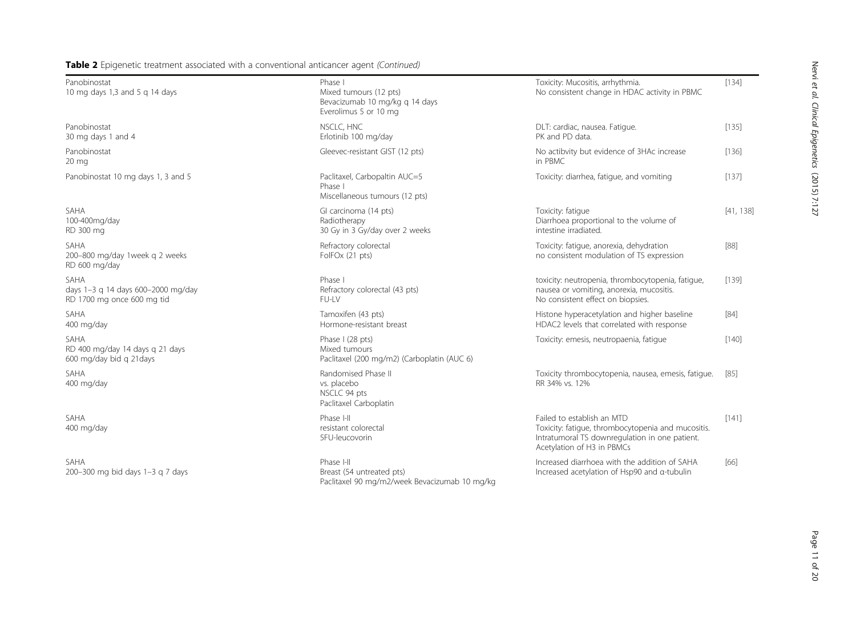| Panobinostat<br>10 mg days 1,3 and 5 g 14 days                           | Phase I<br>Mixed tumours (12 pts)<br>Bevacizumab 10 mg/kg g 14 days<br>Everolimus 5 or 10 mg | Toxicity: Mucositis, arrhythmia.<br>No consistent change in HDAC activity in PBMC                                                                                | [134]     |
|--------------------------------------------------------------------------|----------------------------------------------------------------------------------------------|------------------------------------------------------------------------------------------------------------------------------------------------------------------|-----------|
| Panobinostat<br>30 mg days 1 and 4                                       | NSCLC, HNC<br>Erlotinib 100 mg/day                                                           | DLT: cardiac, nausea. Fatique.<br>PK and PD data.                                                                                                                | [135]     |
| Panobinostat<br>$20 \text{ mg}$                                          | Gleevec-resistant GIST (12 pts)                                                              | No actibvity but evidence of 3HAc increase<br>in PBMC                                                                                                            | [136]     |
| Panobinostat 10 mg days 1, 3 and 5                                       | Paclitaxel, Carbopaltin AUC=5<br>Phase I<br>Miscellaneous tumours (12 pts)                   | Toxicity: diarrhea, fatigue, and vomiting                                                                                                                        | [137]     |
| SAHA<br>100-400mg/day<br>RD 300 mg                                       | GI carcinoma (14 pts)<br>Radiotherapy<br>30 Gy in 3 Gy/day over 2 weeks                      | Toxicity: fatique<br>Diarrhoea proportional to the volume of<br>intestine irradiated.                                                                            | [41, 138] |
| SAHA<br>200-800 mg/day 1week g 2 weeks<br>RD 600 mg/day                  | Refractory colorectal<br>FolFOx (21 pts)                                                     | Toxicity: fatique, anorexia, dehydration<br>no consistent modulation of TS expression                                                                            | $[88]$    |
| SAHA<br>days 1-3 g 14 days 600-2000 mg/day<br>RD 1700 mg once 600 mg tid | Phase I<br>Refractory colorectal (43 pts)<br>FU-IV                                           | toxicity: neutropenia, thrombocytopenia, fatique,<br>nausea or vomiting, anorexia, mucositis.<br>No consistent effect on biopsies.                               | [139]     |
| SAHA<br>400 mg/day                                                       | Tamoxifen (43 pts)<br>Hormone-resistant breast                                               | Histone hyperacetylation and higher baseline<br>HDAC2 levels that correlated with response                                                                       | $[84]$    |
| SAHA<br>RD 400 mg/day 14 days q 21 days<br>600 mg/day bid q 21days       | Phase I (28 pts)<br>Mixed tumours<br>Paclitaxel (200 mg/m2) (Carboplatin (AUC 6)             | Toxicity: emesis, neutropaenia, fatique                                                                                                                          | $[140]$   |
| SAHA<br>400 mg/day                                                       | Randomised Phase II<br>vs. placebo<br>NSCLC 94 pts<br>Paclitaxel Carboplatin                 | Toxicity thrombocytopenia, nausea, emesis, fatique.<br>RR 34% vs. 12%                                                                                            | [85]      |
| SAHA<br>400 mg/day                                                       | Phase I-II<br>resistant colorectal<br>5FU-leucovorin                                         | Failed to establish an MTD<br>Toxicity: fatique, thrombocytopenia and mucositis.<br>Intratumoral TS downregulation in one patient.<br>Acetylation of H3 in PBMCs | [141]     |
| SAHA<br>200-300 mg bid days 1-3 g 7 days                                 | Phase I-II<br>Breast (54 untreated pts)                                                      | Increased diarrhoea with the addition of SAHA<br>Increased acetylation of Hsp90 and a-tubulin                                                                    | [66]      |

Paclitaxel 90 mg/m2/week Bevacizumab 10 mg/kg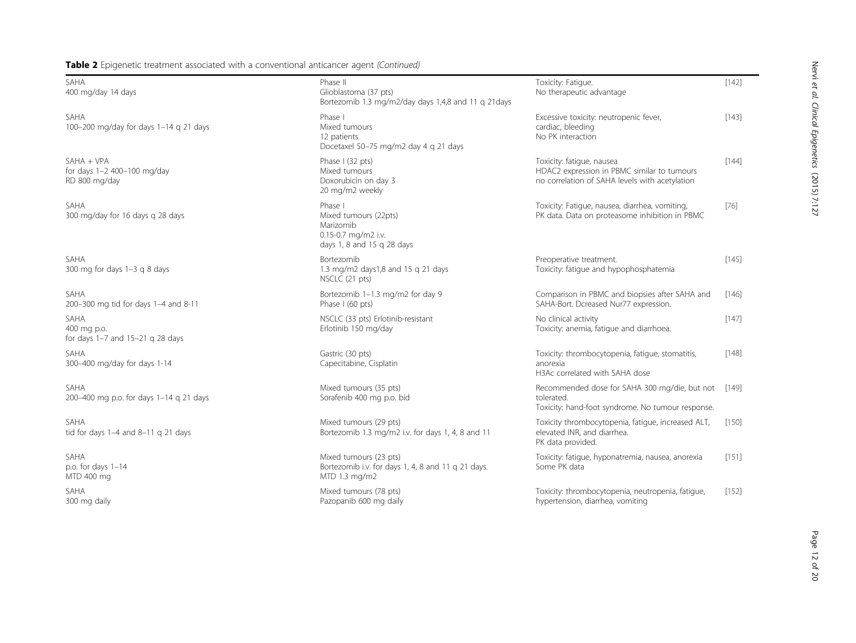| SAHA<br>400 mg/day 14 days                                  | Phase II<br>Glioblastoma (37 pts)<br>Bortezomib 1.3 mg/m2/day days 1,4,8 and 11 g 21 days          | Toxicity: Fatique.<br>No therapeutic advantage                                                                             | [142]   |
|-------------------------------------------------------------|----------------------------------------------------------------------------------------------------|----------------------------------------------------------------------------------------------------------------------------|---------|
| SAHA<br>100-200 mg/day for days 1-14 g 21 days              | Phase I<br>Mixed tumours<br>12 patients<br>Docetaxel 50-75 mg/m2 day 4 g 21 days                   | Excessive toxicity: neutropenic fever,<br>cardiac, bleeding<br>No PK interaction                                           | [143]   |
| SAHA + VPA<br>for days 1-2 400-100 mg/day<br>RD 800 mg/day  | Phase I (32 pts)<br>Mixed tumours<br>Doxorubicin on day 3<br>20 mg/m2 weekly                       | Toxicity: fatique, nausea<br>HDAC2 expression in PBMC similar to tumours<br>no correlation of SAHA levels with acetylation | $[144]$ |
| SAHA<br>300 mg/day for 16 days g 28 days                    | Phase I<br>Mixed tumours (22pts)<br>Marizomib<br>0.15-0.7 mg/m2 i.v.<br>days 1, 8 and 15 g 28 days | Toxicity: Fatigue, nausea, diarrhea, vomiting,<br>PK data. Data on proteasome inhibition in PBMC                           | $[76]$  |
| SAHA<br>300 mg for days 1-3 g 8 days                        | Bortezomib<br>1.3 mg/m2 days1,8 and 15 q 21 days<br>NSCLC (21 pts)                                 | Preoperative treatment.<br>Toxicity: fatigue and hypophosphatemia                                                          | $[145]$ |
| SAHA<br>200-300 mg tid for days 1-4 and 8-11                | Bortezomib 1-1.3 mg/m2 for day 9<br>Phase I (60 pts)                                               | Comparison in PBMC and biopsies after SAHA and<br>SAHA-Bort. Dcreased Nur77 expression.                                    | [146]   |
| SAHA<br>400 mg p.o.<br>for days $1-7$ and $15-21$ q 28 days | NSCLC (33 pts) Erlotinib-resistant<br>Erlotinib 150 mg/day                                         | No clinical activity<br>Toxicity: anemia, fatigue and diarrhoea.                                                           | $[147]$ |
| SAHA<br>300-400 mg/day for days 1-14                        | Gastric (30 pts)<br>Capecitabine, Cisplatin                                                        | Toxicity: thrombocytopenia, fatique, stomatitis,<br>anorexia<br>H3Ac correlated with SAHA dose                             | [148]   |
| SAHA<br>200-400 mg p.o. for days 1-14 g 21 days             | Mixed tumours (35 pts)<br>Sorafenib 400 mg p.o. bid                                                | Recommended dose for SAHA 300 mg/die, but not<br>tolerated.<br>Toxicity: hand-foot syndrome. No tumour response.           | [149]   |
| SAHA<br>tid for days $1-4$ and $8-11$ q 21 days             | Mixed tumours (29 pts)<br>Bortezomib 1.3 mg/m2 i.v. for days 1, 4, 8 and 11                        | Toxicity thrombocytopenia, fatique, increased ALT,<br>elevated INR, and diarrhea.<br>PK data provided.                     | $[150]$ |
| SAHA<br>p.o. for days $1-14$<br>MTD 400 mg                  | Mixed tumours (23 pts)<br>Bortezomib i.v. for days 1, 4, 8 and 11 q 21 days.<br>MTD 1.3 mg/m2      | Toxicity: fatique, hyponatremia, nausea, anorexia<br>Some PK data                                                          | [151]   |
| SAHA<br>300 mg daily                                        | Mixed tumours (78 pts)<br>Pazopanib 600 mg daily                                                   | Toxicity: thrombocytopenia, neutropenia, fatique,<br>hypertension, diarrhea, vomiting                                      | [152]   |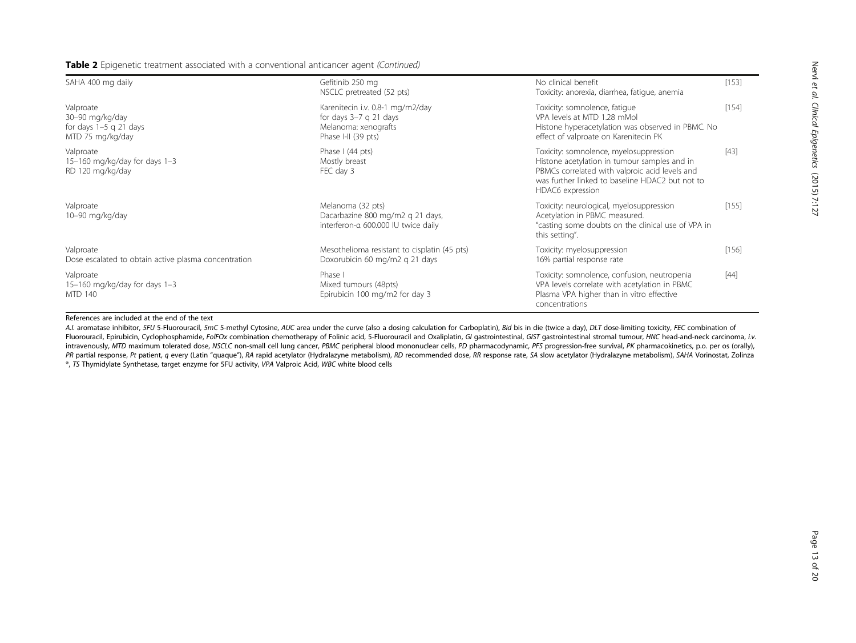| SAHA 400 mg daily                                                            | Gefitinib 250 mg<br>NSCLC pretreated (52 pts)                                                               | No clinical benefit<br>Toxicity: anorexia, diarrhea, fatique, anemia                                                                                                                                            | [153]  |
|------------------------------------------------------------------------------|-------------------------------------------------------------------------------------------------------------|-----------------------------------------------------------------------------------------------------------------------------------------------------------------------------------------------------------------|--------|
| Valproate<br>30-90 mg/kg/day<br>for days $1-5$ g 21 days<br>MTD 75 mg/kg/day | Karenitecin i.v. 0.8-1 mg/m2/day<br>for days $3-7$ q 21 days<br>Melanoma: xenografts<br>Phase I-II (39 pts) | Toxicity: somnolence, fatique<br>VPA levels at MTD 1.28 mMol<br>Histone hyperacetylation was observed in PBMC. No<br>effect of valproate on Karenitecin PK                                                      | [154]  |
| Valproate<br>15-160 mg/kg/day for days 1-3<br>RD 120 mg/kg/day               | Phase I (44 pts)<br>Mostly breast<br>FEC day 3                                                              | Toxicity: somnolence, myelosuppression<br>Histone acetylation in tumour samples and in<br>PBMCs correlated with valproic acid levels and<br>was further linked to baseline HDAC2 but not to<br>HDAC6 expression | [43]   |
| Valproate<br>10-90 mg/kg/day                                                 | Melanoma (32 pts)<br>Dacarbazine 800 mg/m2 g 21 days,<br>interferon-a 600.000 IU twice daily                | Toxicity: neurological, myelosuppression<br>Acetylation in PBMC measured.<br>"casting some doubts on the clinical use of VPA in<br>this setting".                                                               | [155]  |
| Valproate<br>Dose escalated to obtain active plasma concentration            | Mesothelioma resistant to cisplatin (45 pts)<br>Doxorubicin 60 mg/m2 q 21 days                              | Toxicity: myelosuppression<br>16% partial response rate                                                                                                                                                         | [156]  |
| Valproate<br>15-160 mg/kg/day for days 1-3<br>MTD 140                        | Phase I<br>Mixed tumours (48pts)<br>Epirubicin 100 mg/m2 for day 3                                          | Toxicity: somnolence, confusion, neutropenia<br>VPA levels correlate with acetylation in PBMC<br>Plasma VPA higher than in vitro effective<br>concentrations                                                    | $[44]$ |

#### References are included at the end of the text

A.I. aromatase inhibitor, 5FU 5-Fluorouracil, 5mC 5-methyl Cytosine, AUC area under the curve (also a dosing calculation for Carboplatin), Bid bis in die (twice a day), DLT dose-limiting toxicity, FEC combination of Fluorouracil, Epirubicin, Cyclophosphamide, FolFOx combination chemotherapy of Folinic acid, 5-Fluorouracil and Oxaliplatin, GI gastrointestinal, GIST gastrointestinal stromal tumour, HNC head-and-neck carcinoma, i.v. intravenously, MTD maximum tolerated dose, NSCLC non-small cell lung cancer, PBMC peripheral blood mononuclear cells, PD pharmacodynamic, PFS progression-free survival, PK pharmacokinetics, p.o. per os (orally), PR partial response, Pt patient, q every (Latin "quaque"), RA rapid acetylator (Hydralazyne metabolism), RD recommended dose, RR response rate, SA slow acetylator (Hydralazyne metabolism), SAHA Vorinostat, Zolinza ®, TS Thymidylate Synthetase, target enzyme for 5FU activity, VPA Valproic Acid, WBC white blood cells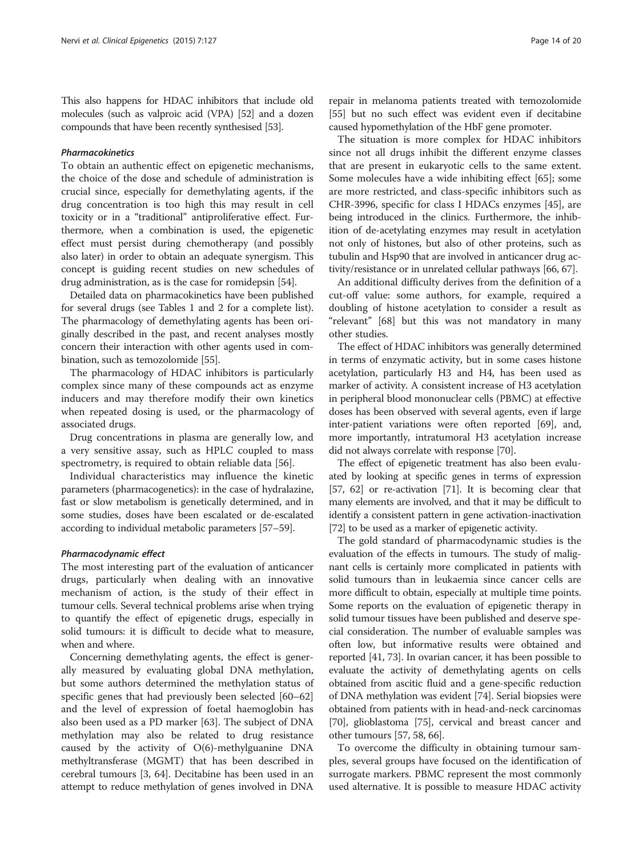This also happens for HDAC inhibitors that include old molecules (such as valproic acid (VPA) [\[52\]](#page-16-0) and a dozen compounds that have been recently synthesised [\[53\]](#page-16-0).

#### Pharmacokinetics

To obtain an authentic effect on epigenetic mechanisms, the choice of the dose and schedule of administration is crucial since, especially for demethylating agents, if the drug concentration is too high this may result in cell toxicity or in a "traditional" antiproliferative effect. Furthermore, when a combination is used, the epigenetic effect must persist during chemotherapy (and possibly also later) in order to obtain an adequate synergism. This concept is guiding recent studies on new schedules of drug administration, as is the case for romidepsin [\[54\]](#page-16-0).

Detailed data on pharmacokinetics have been published for several drugs (see Tables [1](#page-4-0) and [2](#page-8-0) for a complete list). The pharmacology of demethylating agents has been originally described in the past, and recent analyses mostly concern their interaction with other agents used in combination, such as temozolomide [\[55\]](#page-16-0).

The pharmacology of HDAC inhibitors is particularly complex since many of these compounds act as enzyme inducers and may therefore modify their own kinetics when repeated dosing is used, or the pharmacology of associated drugs.

Drug concentrations in plasma are generally low, and a very sensitive assay, such as HPLC coupled to mass spectrometry, is required to obtain reliable data [[56\]](#page-16-0).

Individual characteristics may influence the kinetic parameters (pharmacogenetics): in the case of hydralazine, fast or slow metabolism is genetically determined, and in some studies, doses have been escalated or de-escalated according to individual metabolic parameters [\[57](#page-16-0)–[59](#page-16-0)].

#### Pharmacodynamic effect

The most interesting part of the evaluation of anticancer drugs, particularly when dealing with an innovative mechanism of action, is the study of their effect in tumour cells. Several technical problems arise when trying to quantify the effect of epigenetic drugs, especially in solid tumours: it is difficult to decide what to measure, when and where.

Concerning demethylating agents, the effect is generally measured by evaluating global DNA methylation, but some authors determined the methylation status of specific genes that had previously been selected [[60](#page-16-0)–[62](#page-16-0)] and the level of expression of foetal haemoglobin has also been used as a PD marker [\[63\]](#page-16-0). The subject of DNA methylation may also be related to drug resistance caused by the activity of O(6)-methylguanine DNA methyltransferase (MGMT) that has been described in cerebral tumours [[3,](#page-15-0) [64\]](#page-16-0). Decitabine has been used in an attempt to reduce methylation of genes involved in DNA

repair in melanoma patients treated with temozolomide [[55](#page-16-0)] but no such effect was evident even if decitabine caused hypomethylation of the HbF gene promoter.

The situation is more complex for HDAC inhibitors since not all drugs inhibit the different enzyme classes that are present in eukaryotic cells to the same extent. Some molecules have a wide inhibiting effect [[65](#page-16-0)]; some are more restricted, and class-specific inhibitors such as CHR-3996, specific for class I HDACs enzymes [[45](#page-16-0)], are being introduced in the clinics. Furthermore, the inhibition of de-acetylating enzymes may result in acetylation not only of histones, but also of other proteins, such as tubulin and Hsp90 that are involved in anticancer drug activity/resistance or in unrelated cellular pathways [\[66,](#page-16-0) [67](#page-17-0)].

An additional difficulty derives from the definition of a cut-off value: some authors, for example, required a doubling of histone acetylation to consider a result as "relevant" [\[68](#page-17-0)] but this was not mandatory in many other studies.

The effect of HDAC inhibitors was generally determined in terms of enzymatic activity, but in some cases histone acetylation, particularly H3 and H4, has been used as marker of activity. A consistent increase of H3 acetylation in peripheral blood mononuclear cells (PBMC) at effective doses has been observed with several agents, even if large inter-patient variations were often reported [[69](#page-17-0)], and, more importantly, intratumoral H3 acetylation increase did not always correlate with response [\[70\]](#page-17-0).

The effect of epigenetic treatment has also been evaluated by looking at specific genes in terms of expression [[57](#page-16-0), [62\]](#page-16-0) or re-activation [\[71\]](#page-17-0). It is becoming clear that many elements are involved, and that it may be difficult to identify a consistent pattern in gene activation-inactivation [[72](#page-17-0)] to be used as a marker of epigenetic activity.

The gold standard of pharmacodynamic studies is the evaluation of the effects in tumours. The study of malignant cells is certainly more complicated in patients with solid tumours than in leukaemia since cancer cells are more difficult to obtain, especially at multiple time points. Some reports on the evaluation of epigenetic therapy in solid tumour tissues have been published and deserve special consideration. The number of evaluable samples was often low, but informative results were obtained and reported [[41](#page-16-0), [73\]](#page-17-0). In ovarian cancer, it has been possible to evaluate the activity of demethylating agents on cells obtained from ascitic fluid and a gene-specific reduction of DNA methylation was evident [[74](#page-17-0)]. Serial biopsies were obtained from patients with in head-and-neck carcinomas [[70](#page-17-0)], glioblastoma [\[75\]](#page-17-0), cervical and breast cancer and other tumours [\[57, 58](#page-16-0), [66\]](#page-16-0).

To overcome the difficulty in obtaining tumour samples, several groups have focused on the identification of surrogate markers. PBMC represent the most commonly used alternative. It is possible to measure HDAC activity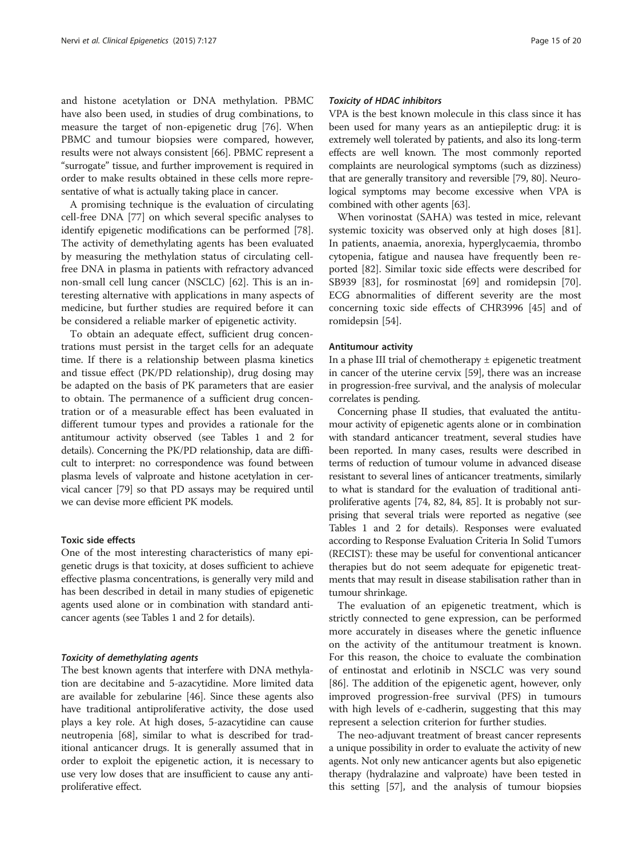and histone acetylation or DNA methylation. PBMC have also been used, in studies of drug combinations, to measure the target of non-epigenetic drug [[76\]](#page-17-0). When PBMC and tumour biopsies were compared, however, results were not always consistent [[66](#page-16-0)]. PBMC represent a "surrogate" tissue, and further improvement is required in order to make results obtained in these cells more representative of what is actually taking place in cancer.

A promising technique is the evaluation of circulating cell-free DNA [\[77](#page-17-0)] on which several specific analyses to identify epigenetic modifications can be performed [\[78](#page-17-0)]. The activity of demethylating agents has been evaluated by measuring the methylation status of circulating cellfree DNA in plasma in patients with refractory advanced non-small cell lung cancer (NSCLC) [\[62](#page-16-0)]. This is an interesting alternative with applications in many aspects of medicine, but further studies are required before it can be considered a reliable marker of epigenetic activity.

To obtain an adequate effect, sufficient drug concentrations must persist in the target cells for an adequate time. If there is a relationship between plasma kinetics and tissue effect (PK/PD relationship), drug dosing may be adapted on the basis of PK parameters that are easier to obtain. The permanence of a sufficient drug concentration or of a measurable effect has been evaluated in different tumour types and provides a rationale for the antitumour activity observed (see Tables [1](#page-4-0) and [2](#page-8-0) for details). Concerning the PK/PD relationship, data are difficult to interpret: no correspondence was found between plasma levels of valproate and histone acetylation in cervical cancer [[79](#page-17-0)] so that PD assays may be required until we can devise more efficient PK models.

#### Toxic side effects

One of the most interesting characteristics of many epigenetic drugs is that toxicity, at doses sufficient to achieve effective plasma concentrations, is generally very mild and has been described in detail in many studies of epigenetic agents used alone or in combination with standard anticancer agents (see Tables [1](#page-4-0) and [2](#page-8-0) for details).

#### Toxicity of demethylating agents

The best known agents that interfere with DNA methylation are decitabine and 5-azacytidine. More limited data are available for zebularine [[46](#page-16-0)]. Since these agents also have traditional antiproliferative activity, the dose used plays a key role. At high doses, 5-azacytidine can cause neutropenia [[68](#page-17-0)], similar to what is described for traditional anticancer drugs. It is generally assumed that in order to exploit the epigenetic action, it is necessary to use very low doses that are insufficient to cause any antiproliferative effect.

#### Toxicity of HDAC inhibitors

VPA is the best known molecule in this class since it has been used for many years as an antiepileptic drug: it is extremely well tolerated by patients, and also its long-term effects are well known. The most commonly reported complaints are neurological symptoms (such as dizziness) that are generally transitory and reversible [\[79](#page-17-0), [80\]](#page-17-0). Neurological symptoms may become excessive when VPA is combined with other agents [\[63\]](#page-16-0).

When vorinostat (SAHA) was tested in mice, relevant systemic toxicity was observed only at high doses [\[81](#page-17-0)]. In patients, anaemia, anorexia, hyperglycaemia, thrombo cytopenia, fatigue and nausea have frequently been reported [\[82\]](#page-17-0). Similar toxic side effects were described for SB939 [\[83](#page-17-0)], for rosminostat [\[69](#page-17-0)] and romidepsin [\[70](#page-17-0)]. ECG abnormalities of different severity are the most concerning toxic side effects of CHR3996 [[45\]](#page-16-0) and of romidepsin [[54\]](#page-16-0).

#### Antitumour activity

In a phase III trial of chemotherapy  $\pm$  epigenetic treatment in cancer of the uterine cervix [[59](#page-16-0)], there was an increase in progression-free survival, and the analysis of molecular correlates is pending.

Concerning phase II studies, that evaluated the antitumour activity of epigenetic agents alone or in combination with standard anticancer treatment, several studies have been reported. In many cases, results were described in terms of reduction of tumour volume in advanced disease resistant to several lines of anticancer treatments, similarly to what is standard for the evaluation of traditional antiproliferative agents [[74](#page-17-0), [82](#page-17-0), [84](#page-17-0), [85](#page-17-0)]. It is probably not surprising that several trials were reported as negative (see Tables [1](#page-4-0) and [2](#page-8-0) for details). Responses were evaluated according to Response Evaluation Criteria In Solid Tumors (RECIST): these may be useful for conventional anticancer therapies but do not seem adequate for epigenetic treatments that may result in disease stabilisation rather than in tumour shrinkage.

The evaluation of an epigenetic treatment, which is strictly connected to gene expression, can be performed more accurately in diseases where the genetic influence on the activity of the antitumour treatment is known. For this reason, the choice to evaluate the combination of entinostat and erlotinib in NSCLC was very sound [[86\]](#page-17-0). The addition of the epigenetic agent, however, only improved progression-free survival (PFS) in tumours with high levels of e-cadherin, suggesting that this may represent a selection criterion for further studies.

The neo-adjuvant treatment of breast cancer represents a unique possibility in order to evaluate the activity of new agents. Not only new anticancer agents but also epigenetic therapy (hydralazine and valproate) have been tested in this setting [[57](#page-16-0)], and the analysis of tumour biopsies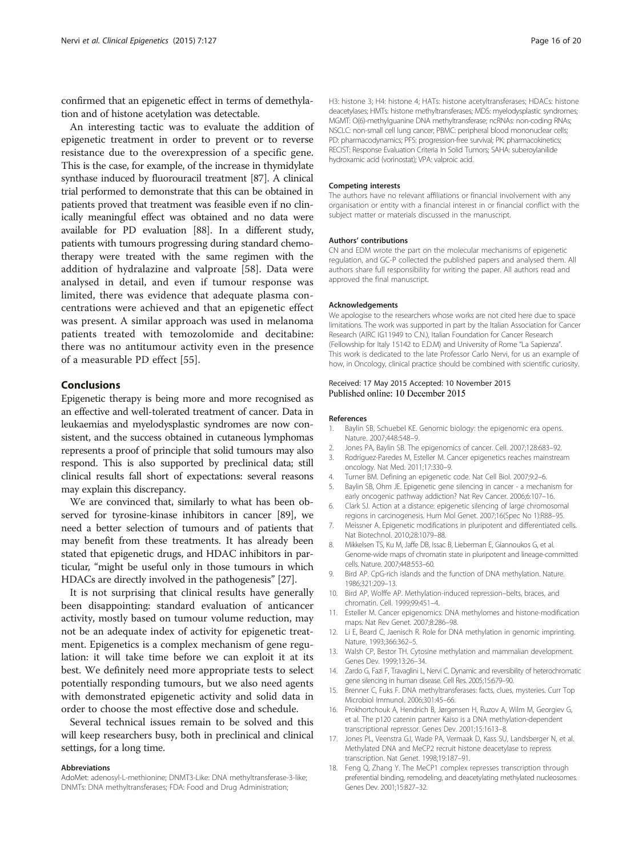<span id="page-15-0"></span>confirmed that an epigenetic effect in terms of demethylation and of histone acetylation was detectable.

An interesting tactic was to evaluate the addition of epigenetic treatment in order to prevent or to reverse resistance due to the overexpression of a specific gene. This is the case, for example, of the increase in thymidylate synthase induced by fluorouracil treatment [\[87](#page-17-0)]. A clinical trial performed to demonstrate that this can be obtained in patients proved that treatment was feasible even if no clinically meaningful effect was obtained and no data were available for PD evaluation [\[88\]](#page-17-0). In a different study, patients with tumours progressing during standard chemotherapy were treated with the same regimen with the addition of hydralazine and valproate [[58\]](#page-16-0). Data were analysed in detail, and even if tumour response was limited, there was evidence that adequate plasma concentrations were achieved and that an epigenetic effect was present. A similar approach was used in melanoma patients treated with temozolomide and decitabine: there was no antitumour activity even in the presence of a measurable PD effect [[55](#page-16-0)].

#### Conclusions

Epigenetic therapy is being more and more recognised as an effective and well-tolerated treatment of cancer. Data in leukaemias and myelodysplastic syndromes are now consistent, and the success obtained in cutaneous lymphomas represents a proof of principle that solid tumours may also respond. This is also supported by preclinical data; still clinical results fall short of expectations: several reasons may explain this discrepancy.

We are convinced that, similarly to what has been observed for tyrosine-kinase inhibitors in cancer [[89](#page-17-0)], we need a better selection of tumours and of patients that may benefit from these treatments. It has already been stated that epigenetic drugs, and HDAC inhibitors in particular, "might be useful only in those tumours in which HDACs are directly involved in the pathogenesis" [\[27\]](#page-16-0).

It is not surprising that clinical results have generally been disappointing: standard evaluation of anticancer activity, mostly based on tumour volume reduction, may not be an adequate index of activity for epigenetic treatment. Epigenetics is a complex mechanism of gene regulation: it will take time before we can exploit it at its best. We definitely need more appropriate tests to select potentially responding tumours, but we also need agents with demonstrated epigenetic activity and solid data in order to choose the most effective dose and schedule.

Several technical issues remain to be solved and this will keep researchers busy, both in preclinical and clinical settings, for a long time.

#### Abbreviations

AdoMet: adenosyl-L-methionine; DNMT3-Like: DNA methyltransferase-3-like; DNMTs: DNA methyltransferases; FDA: Food and Drug Administration;

H3: histone 3; H4: histone 4; HATs: histone acetyltransferases; HDACs: histone deacetylases; HMTs: histone methyltransferases; MDS: myelodysplastic syndromes; MGMT: O(6)-methylguanine DNA methyltransferase; ncRNAs: non-coding RNAs; NSCLC: non-small cell lung cancer; PBMC: peripheral blood mononuclear cells; PD: pharmacodynamics; PFS: progression-free survival; PK: pharmacokinetics; RECIST: Response Evaluation Criteria In Solid Tumors; SAHA: suberoylanilide hydroxamic acid (vorinostat); VPA: valproic acid.

#### Competing interests

The authors have no relevant affiliations or financial involvement with any organisation or entity with a financial interest in or financial conflict with the subject matter or materials discussed in the manuscript.

#### Authors' contributions

CN and EDM wrote the part on the molecular mechanisms of epigenetic regulation, and GC-P collected the published papers and analysed them. All authors share full responsibility for writing the paper. All authors read and approved the final manuscript.

#### Acknowledgements

We apologise to the researchers whose works are not cited here due to space limitations. The work was supported in part by the Italian Association for Cancer Research (AIRC IG11949 to C.N.), Italian Foundation for Cancer Research (Fellowship for Italy 15142 to E.D.M) and University of Rome "La Sapienza". This work is dedicated to the late Professor Carlo Nervi, for us an example of how, in Oncology, clinical practice should be combined with scientific curiosity.

#### Received: 17 May 2015 Accepted: 10 November 2015 Published online: 10 December 2015

#### References

- 1. Baylin SB, Schuebel KE. Genomic biology: the epigenomic era opens. Nature. 2007;448:548–9.
- 2. Jones PA, Baylin SB. The epigenomics of cancer. Cell. 2007;128:683–92.
- 3. Rodríguez-Paredes M, Esteller M. Cancer epigenetics reaches mainstream oncology. Nat Med. 2011;17:330–9.
- 4. Turner BM. Defining an epigenetic code. Nat Cell Biol. 2007;9:2–6.
- 5. Baylin SB, Ohm JE. Epigenetic gene silencing in cancer a mechanism for early oncogenic pathway addiction? Nat Rev Cancer. 2006;6:107–16.
- 6. Clark SJ. Action at a distance: epigenetic silencing of large chromosomal regions in carcinogenesis. Hum Mol Genet. 2007;16(Spec No 1):R88–95.
- 7. Meissner A. Epigenetic modifications in pluripotent and differentiated cells. Nat Biotechnol. 2010;28:1079–88.
- 8. Mikkelsen TS, Ku M, Jaffe DB, Issac B, Lieberman E, Giannoukos G, et al. Genome-wide maps of chromatin state in pluripotent and lineage-committed cells. Nature. 2007;448:553–60.
- 9. Bird AP. CpG-rich islands and the function of DNA methylation. Nature. 1986;321:209–13.
- 10. Bird AP, Wolffe AP. Methylation-induced repression–belts, braces, and chromatin. Cell. 1999;99:451–4.
- 11. Esteller M. Cancer epigenomics: DNA methylomes and histone-modification maps. Nat Rev Genet. 2007;8:286–98.
- 12. Li E, Beard C, Jaenisch R. Role for DNA methylation in genomic imprinting. Nature. 1993;366:362–5.
- 13. Walsh CP, Bestor TH. Cytosine methylation and mammalian development. Genes Dev. 1999;13:26–34.
- 14. Zardo G, Fazi F, Travaglini L, Nervi C. Dynamic and reversibility of heterochromatic gene silencing in human disease. Cell Res. 2005;15:679–90.
- 15. Brenner C, Fuks F. DNA methyltransferases: facts, clues, mysteries. Curr Top Microbiol Immunol. 2006;301:45–66.
- 16. Prokhortchouk A, Hendrich B, Jørgensen H, Ruzov A, Wilm M, Georgiev G, et al. The p120 catenin partner Kaiso is a DNA methylation-dependent transcriptional repressor. Genes Dev. 2001;15:1613–8.
- 17. Jones PL, Veenstra GJ, Wade PA, Vermaak D, Kass SU, Landsberger N, et al. Methylated DNA and MeCP2 recruit histone deacetylase to repress transcription. Nat Genet. 1998;19:187–91.
- 18. Feng Q, Zhang Y. The MeCP1 complex represses transcription through preferential binding, remodeling, and deacetylating methylated nucleosomes. Genes Dev. 2001;15:827–32.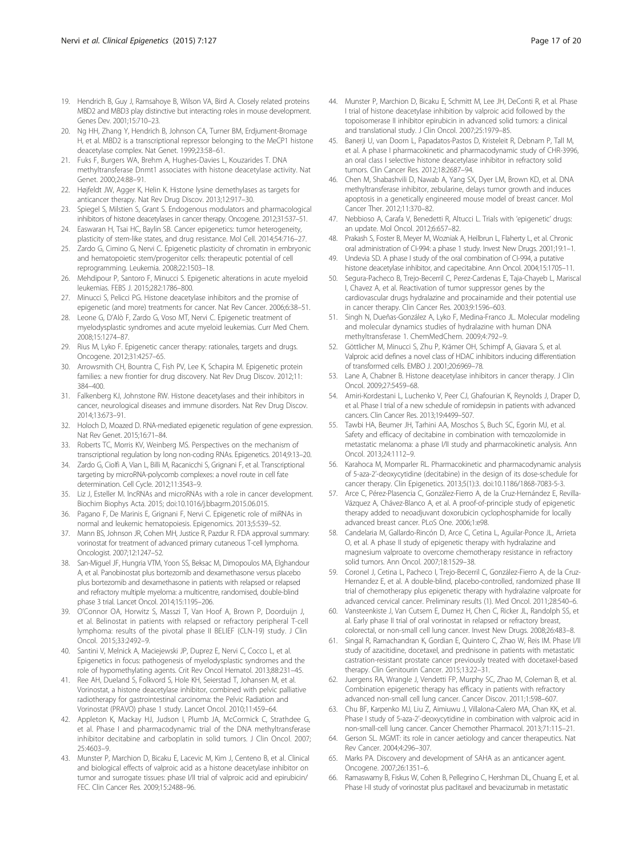- <span id="page-16-0"></span>19. Hendrich B, Guy J, Ramsahoye B, Wilson VA, Bird A. Closely related proteins MBD2 and MBD3 play distinctive but interacting roles in mouse development. Genes Dev. 2001;15:710–23.
- 20. Ng HH, Zhang Y, Hendrich B, Johnson CA, Turner BM, Erdjument-Bromage H, et al. MBD2 is a transcriptional repressor belonging to the MeCP1 histone deacetylase complex. Nat Genet. 1999;23:58–61.
- 21. Fuks F, Burgers WA, Brehm A, Hughes-Davies L, Kouzarides T. DNA methyltransferase Dnmt1 associates with histone deacetylase activity. Nat Genet. 2000;24:88–91.
- 22. Højfeldt JW, Agger K, Helin K. Histone lysine demethylases as targets for anticancer therapy. Nat Rev Drug Discov. 2013;12:917–30.
- 23. Spiegel S, Milstien S, Grant S, Endogenous modulators and pharmacological inhibitors of histone deacetylases in cancer therapy. Oncogene. 2012;31:537–51.
- 24. Easwaran H, Tsai HC, Baylin SB. Cancer epigenetics: tumor heterogeneity, plasticity of stem-like states, and drug resistance. Mol Cell. 2014;54:716–27.
- 25. Zardo G, Cimino G, Nervi C. Epigenetic plasticity of chromatin in embryonic and hematopoietic stem/progenitor cells: therapeutic potential of cell reprogramming. Leukemia. 2008;22:1503–18.
- 26. Mehdipour P, Santoro F, Minucci S. Epigenetic alterations in acute myeloid leukemias. FEBS J. 2015;282:1786–800.
- 27. Minucci S, Pelicci PG. Histone deacetylase inhibitors and the promise of epigenetic (and more) treatments for cancer. Nat Rev Cancer. 2006;6:38–51.
- 28. Leone G, D'Alò F, Zardo G, Voso MT, Nervi C. Epigenetic treatment of myelodysplastic syndromes and acute myeloid leukemias. Curr Med Chem. 2008;15:1274–87.
- 29. Rius M, Lyko F. Epigenetic cancer therapy: rationales, targets and drugs. Oncogene. 2012;31:4257–65.
- 30. Arrowsmith CH, Bountra C, Fish PV, Lee K, Schapira M. Epigenetic protein families: a new frontier for drug discovery. Nat Rev Drug Discov. 2012;11: 384–400.
- 31. Falkenberg KJ, Johnstone RW. Histone deacetylases and their inhibitors in cancer, neurological diseases and immune disorders. Nat Rev Drug Discov. 2014;13:673–91.
- 32. Holoch D, Moazed D. RNA-mediated epigenetic regulation of gene expression. Nat Rev Genet. 2015;16:71–84.
- 33. Roberts TC, Morris KV, Weinberg MS. Perspectives on the mechanism of transcriptional regulation by long non-coding RNAs. Epigenetics. 2014;9:13–20.
- 34. Zardo G, Ciolfi A, Vian L, Billi M, Racanicchi S, Grignani F, et al. Transcriptional targeting by microRNA-polycomb complexes: a novel route in cell fate determination. Cell Cycle. 2012;11:3543–9.
- 35. Liz J, Esteller M. lncRNAs and microRNAs with a role in cancer development. Biochim Biophys Acta. 2015; doi[:10.1016/j.bbagrm.2015.06.015.](http://dx.doi.org/10.1016/j.bbagrm.2015.06.015)
- 36. Pagano F, De Marinis E, Grignani F, Nervi C. Epigenetic role of miRNAs in normal and leukemic hematopoiesis. Epigenomics. 2013;5:539–52.
- 37. Mann BS, Johnson JR, Cohen MH, Justice R, Pazdur R. FDA approval summary: vorinostat for treatment of advanced primary cutaneous T-cell lymphoma. Oncologist. 2007;12:1247–52.
- 38. San-Miguel JF, Hungria VTM, Yoon SS, Beksac M, Dimopoulos MA, Elghandour A, et al. Panobinostat plus bortezomib and dexamethasone versus placebo plus bortezomib and dexamethasone in patients with relapsed or relapsed and refractory multiple myeloma: a multicentre, randomised, double-blind phase 3 trial. Lancet Oncol. 2014;15:1195–206.
- 39. O'Connor OA, Horwitz S, Masszi T, Van Hoof A, Brown P, Doorduijn J, et al. Belinostat in patients with relapsed or refractory peripheral T-cell lymphoma: results of the pivotal phase II BELIEF (CLN-19) study. J Clin Oncol. 2015;33:2492–9.
- 40. Santini V, Melnick A, Maciejewski JP, Duprez E, Nervi C, Cocco L, et al. Epigenetics in focus: pathogenesis of myelodysplastic syndromes and the role of hypomethylating agents. Crit Rev Oncol Hematol. 2013;88:231–45.
- 41. Ree AH, Dueland S, Folkvord S, Hole KH, Seierstad T, Johansen M, et al. Vorinostat, a histone deacetylase inhibitor, combined with pelvic palliative radiotherapy for gastrointestinal carcinoma: the Pelvic Radiation and Vorinostat (PRAVO) phase 1 study. Lancet Oncol. 2010;11:459–64.
- 42. Appleton K, Mackay HJ, Judson I, Plumb JA, McCormick C, Strathdee G, et al. Phase I and pharmacodynamic trial of the DNA methyltransferase inhibitor decitabine and carboplatin in solid tumors. J Clin Oncol. 2007; 25:4603–9.
- 43. Munster P, Marchion D, Bicaku E, Lacevic M, Kim J, Centeno B, et al. Clinical and biological effects of valproic acid as a histone deacetylase inhibitor on tumor and surrogate tissues: phase I/II trial of valproic acid and epirubicin/ FEC. Clin Cancer Res. 2009;15:2488–96.
- 44. Munster P, Marchion D, Bicaku E, Schmitt M, Lee JH, DeConti R, et al. Phase I trial of histone deacetylase inhibition by valproic acid followed by the topoisomerase II inhibitor epirubicin in advanced solid tumors: a clinical and translational study. J Clin Oncol. 2007;25:1979–85.
- 45. Banerji U, van Doorn L, Papadatos-Pastos D, Kristeleit R, Debnam P, Tall M, et al. A phase I pharmacokinetic and pharmacodynamic study of CHR-3996, an oral class I selective histone deacetylase inhibitor in refractory solid tumors. Clin Cancer Res. 2012;18:2687–94.
- 46. Chen M, Shabashvili D, Nawab A, Yang SX, Dyer LM, Brown KD, et al. DNA methyltransferase inhibitor, zebularine, delays tumor growth and induces apoptosis in a genetically engineered mouse model of breast cancer. Mol Cancer Ther. 2012;11:370–82.
- 47. Nebbioso A, Carafa V, Benedetti R, Altucci L. Trials with 'epigenetic' drugs: an update. Mol Oncol. 2012;6:657–82.
- 48. Prakash S, Foster B, Meyer M, Wozniak A, Heilbrun L, Flaherty L, et al. Chronic oral administration of CI-994: a phase 1 study. Invest New Drugs. 2001;19:1–1.
- 49. Undevia SD. A phase I study of the oral combination of CI-994, a putative histone deacetylase inhibitor, and capecitabine. Ann Oncol. 2004;15:1705–11.
- 50. Segura-Pacheco B, Trejo-Becerril C, Perez-Cardenas E, Taja-Chayeb L, Mariscal I, Chavez A, et al. Reactivation of tumor suppressor genes by the cardiovascular drugs hydralazine and procainamide and their potential use in cancer therapy. Clin Cancer Res. 2003;9:1596–603.
- 51. Singh N, Dueñas-González A, Lyko F, Medina-Franco JL. Molecular modeling and molecular dynamics studies of hydralazine with human DNA methyltransferase 1. ChemMedChem. 2009;4:792–9.
- 52. Göttlicher M, Minucci S, Zhu P, Krämer OH, Schimpf A, Giavara S, et al. Valproic acid defines a novel class of HDAC inhibitors inducing differentiation of transformed cells. EMBO J. 2001;20:6969–78.
- 53. Lane A, Chabner B. Histone deacetylase inhibitors in cancer therapy. J Clin Oncol. 2009;27:5459–68.
- 54. Amiri-Kordestani L, Luchenko V, Peer CJ, Ghafourian K, Reynolds J, Draper D, et al. Phase I trial of a new schedule of romidepsin in patients with advanced cancers. Clin Cancer Res. 2013;19:4499–507.
- 55. Tawbi HA, Beumer JH, Tarhini AA, Moschos S, Buch SC, Egorin MJ, et al. Safety and efficacy of decitabine in combination with temozolomide in metastatic melanoma: a phase I/II study and pharmacokinetic analysis. Ann Oncol. 2013;24:1112–9.
- 56. Karahoca M, Momparler RL. Pharmacokinetic and pharmacodynamic analysis of 5-aza-2'-deoxycytidine (decitabine) in the design of its dose-schedule for cancer therapy. Clin Epigenetics. 2013;5(1):3. doi:[10.1186/1868-7083-5-3](http://dx.doi.org/10.1186/1868-7083-5-3).
- 57. Arce C, Pérez-Plasencia C, González-Fierro A, de la Cruz-Hernández E, Revilla-Vázquez A, Chávez-Blanco A, et al. A proof-of-principle study of epigenetic therapy added to neoadjuvant doxorubicin cyclophosphamide for locally advanced breast cancer. PLoS One. 2006;1:e98.
- 58. Candelaria M, Gallardo-Rincón D, Arce C, Cetina L, Aguilar-Ponce JL, Arrieta O, et al. A phase II study of epigenetic therapy with hydralazine and magnesium valproate to overcome chemotherapy resistance in refractory solid tumors. Ann Oncol. 2007;18:1529–38.
- 59. Coronel J, Cetina L, Pacheco I, Trejo-Becerril C, González-Fierro A, de la Cruz-Hernandez E, et al. A double-blind, placebo-controlled, randomized phase III trial of chemotherapy plus epigenetic therapy with hydralazine valproate for advanced cervical cancer. Preliminary results (1). Med Oncol. 2011;28:540–6.
- 60. Vansteenkiste J, Van Cutsem E, Dumez H, Chen C, Ricker JL, Randolph SS, et al. Early phase II trial of oral vorinostat in relapsed or refractory breast, colorectal, or non-small cell lung cancer. Invest New Drugs. 2008;26:483–8.
- 61. Singal R, Ramachandran K, Gordian E, Quintero C, Zhao W, Reis IM. Phase I/II study of azacitidine, docetaxel, and prednisone in patients with metastatic castration-resistant prostate cancer previously treated with docetaxel-based therapy. Clin Genitourin Cancer. 2015;13:22–31.
- 62. Juergens RA, Wrangle J, Vendetti FP, Murphy SC, Zhao M, Coleman B, et al. Combination epigenetic therapy has efficacy in patients with refractory advanced non-small cell lung cancer. Cancer Discov. 2011;1:598–607.
- 63. Chu BF, Karpenko MJ, Liu Z, Aimiuwu J, Villalona-Calero MA, Chan KK, et al. Phase I study of 5-aza-2'-deoxycytidine in combination with valproic acid in non-small-cell lung cancer. Cancer Chemother Pharmacol. 2013;71:115–21.
- 64. Gerson SL. MGMT: its role in cancer aetiology and cancer therapeutics. Nat Rev Cancer. 2004;4:296–307.
- Marks PA. Discovery and development of SAHA as an anticancer agent. Oncogene. 2007;26:1351–6.
- 66. Ramaswamy B, Fiskus W, Cohen B, Pellegrino C, Hershman DL, Chuang E, et al. Phase I-II study of vorinostat plus paclitaxel and bevacizumab in metastatic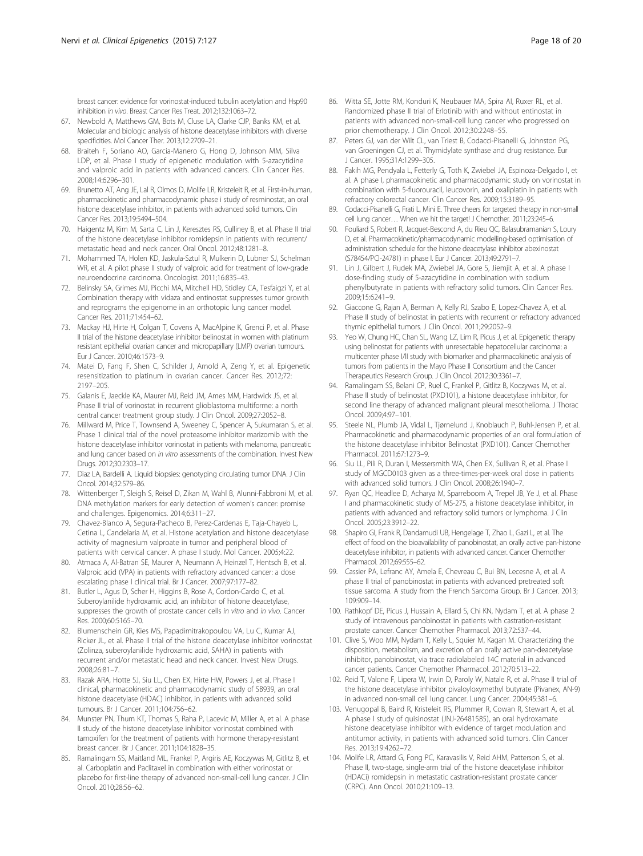<span id="page-17-0"></span>breast cancer: evidence for vorinostat-induced tubulin acetylation and Hsp90 inhibition in vivo. Breast Cancer Res Treat. 2012;132:1063–72.

- 67. Newbold A, Matthews GM, Bots M, Cluse LA, Clarke CJP, Banks KM, et al. Molecular and biologic analysis of histone deacetylase inhibitors with diverse specificities. Mol Cancer Ther. 2013;12:2709–21.
- 68. Braiteh F, Soriano AO, Garcia-Manero G, Hong D, Johnson MM, Silva LDP, et al. Phase I study of epigenetic modulation with 5-azacytidine and valproic acid in patients with advanced cancers. Clin Cancer Res. 2008;14:6296–301.
- 69. Brunetto AT, Ang JE, Lal R, Olmos D, Molife LR, Kristeleit R, et al. First-in-human, pharmacokinetic and pharmacodynamic phase i study of resminostat, an oral histone deacetylase inhibitor, in patients with advanced solid tumors. Clin Cancer Res. 2013;19:5494–504.
- 70. Haigentz M, Kim M, Sarta C, Lin J, Keresztes RS, Culliney B, et al. Phase II trial of the histone deacetylase inhibitor romidepsin in patients with recurrent/ metastatic head and neck cancer. Oral Oncol. 2012;48:1281–8.
- 71. Mohammed TA, Holen KD, Jaskula-Sztul R, Mulkerin D, Lubner SJ, Schelman WR, et al. A pilot phase II study of valproic acid for treatment of low-grade neuroendocrine carcinoma. Oncologist. 2011;16:835–43.
- 72. Belinsky SA, Grimes MJ, Picchi MA, Mitchell HD, Stidley CA, Tesfaigzi Y, et al. Combination therapy with vidaza and entinostat suppresses tumor growth and reprograms the epigenome in an orthotopic lung cancer model. Cancer Res. 2011;71:454–62.
- 73. Mackay HJ, Hirte H, Colgan T, Covens A, MacAlpine K, Grenci P, et al. Phase II trial of the histone deacetylase inhibitor belinostat in women with platinum resistant epithelial ovarian cancer and micropapillary (LMP) ovarian tumours. Eur J Cancer. 2010;46:1573–9.
- 74. Matei D, Fang F, Shen C, Schilder J, Arnold A, Zeng Y, et al. Epigenetic resensitization to platinum in ovarian cancer. Cancer Res. 2012;72: 2197–205.
- 75. Galanis E, Jaeckle KA, Maurer MJ, Reid JM, Ames MM, Hardwick JS, et al. Phase II trial of vorinostat in recurrent glioblastoma multiforme: a north central cancer treatment group study. J Clin Oncol. 2009;27:2052–8.
- 76. Millward M, Price T, Townsend A, Sweeney C, Spencer A, Sukumaran S, et al. Phase 1 clinical trial of the novel proteasome inhibitor marizomib with the histone deacetylase inhibitor vorinostat in patients with melanoma, pancreatic and lung cancer based on in vitro assessments of the combination. Invest New Drugs. 2012;30:2303–17.
- 77. Diaz LA, Bardelli A. Liquid biopsies: genotyping circulating tumor DNA. J Clin Oncol. 2014;32:579–86.
- 78. Wittenberger T, Sleigh S, Reisel D, Zikan M, Wahl B, Alunni-Fabbroni M, et al. DNA methylation markers for early detection of women's cancer: promise and challenges. Epigenomics. 2014;6:311–27.
- 79. Chavez-Blanco A, Segura-Pacheco B, Perez-Cardenas E, Taja-Chayeb L, Cetina L, Candelaria M, et al. Histone acetylation and histone deacetylase activity of magnesium valproate in tumor and peripheral blood of patients with cervical cancer. A phase I study. Mol Cancer. 2005;4:22.
- 80. Atmaca A, Al-Batran SE, Maurer A, Neumann A, Heinzel T, Hentsch B, et al. Valproic acid (VPA) in patients with refractory advanced cancer: a dose escalating phase I clinical trial. Br J Cancer. 2007;97:177–82.
- 81. Butler L, Agus D, Scher H, Higgins B, Rose A, Cordon-Cardo C, et al. Suberoylanilide hydroxamic acid, an inhibitor of histone deacetylase, suppresses the growth of prostate cancer cells in vitro and in vivo. Cancer Res. 2000;60:5165–70.
- 82. Blumenschein GR, Kies MS, Papadimitrakopoulou VA, Lu C, Kumar AJ, Ricker JL, et al. Phase II trial of the histone deacetylase inhibitor vorinostat (Zolinza, suberoylanilide hydroxamic acid, SAHA) in patients with recurrent and/or metastatic head and neck cancer. Invest New Drugs. 2008;26:81–7.
- 83. Razak ARA, Hotte SJ, Siu LL, Chen EX, Hirte HW, Powers J, et al. Phase I clinical, pharmacokinetic and pharmacodynamic study of SB939, an oral histone deacetylase (HDAC) inhibitor, in patients with advanced solid tumours. Br J Cancer. 2011;104:756–62.
- 84. Munster PN, Thurn KT, Thomas S, Raha P, Lacevic M, Miller A, et al. A phase II study of the histone deacetylase inhibitor vorinostat combined with tamoxifen for the treatment of patients with hormone therapy-resistant breast cancer. Br J Cancer. 2011;104:1828–35.
- 85. Ramalingam SS, Maitland ML, Frankel P, Argiris AE, Koczywas M, Gitlitz B, et al. Carboplatin and Paclitaxel in combination with either vorinostat or placebo for first-line therapy of advanced non-small-cell lung cancer. J Clin Oncol. 2010;28:56–62.
- 86. Witta SE, Jotte RM, Konduri K, Neubauer MA, Spira AI, Ruxer RL, et al. Randomized phase II trial of Erlotinib with and without entinostat in patients with advanced non-small-cell lung cancer who progressed on prior chemotherapy. J Clin Oncol. 2012;30:2248–55.
- 87. Peters GJ, van der Wilt CL, van Triest B, Codacci-Pisanelli G, Johnston PG, van Groeningen CJ, et al. Thymidylate synthase and drug resistance. Eur J Cancer. 1995;31A:1299–305.
- 88. Fakih MG, Pendyala L, Fetterly G, Toth K, Zwiebel JA, Espinoza-Delgado I, et al. A phase I, pharmacokinetic and pharmacodynamic study on vorinostat in combination with 5-fluorouracil, leucovorin, and oxaliplatin in patients with refractory colorectal cancer. Clin Cancer Res. 2009;15:3189–95.
- 89. Codacci-Pisanelli G, Frati L, Mini E. Three cheers for targeted therapy in non-small cell lung cancer… When we hit the target! J Chemother. 2011;23:245–6.
- 90. Fouliard S, Robert R, Jacquet-Bescond A, du Rieu QC, Balasubramanian S, Loury D, et al. Pharmacokinetic/pharmacodynamic modelling-based optimisation of administration schedule for the histone deacetylase inhibitor abexinostat (S78454/PCI-24781) in phase I. Eur J Cancer. 2013;49:2791–7.
- 91. Lin J, Gilbert J, Rudek MA, Zwiebel JA, Gore S, Jiemjit A, et al. A phase I dose-finding study of 5-azacytidine in combination with sodium phenylbutyrate in patients with refractory solid tumors. Clin Cancer Res. 2009;15:6241–9.
- 92. Giaccone G, Rajan A, Berman A, Kelly RJ, Szabo E, Lopez-Chavez A, et al. Phase II study of belinostat in patients with recurrent or refractory advanced thymic epithelial tumors. J Clin Oncol. 2011;29:2052–9.
- 93. Yeo W, Chung HC, Chan SL, Wang LZ, Lim R, Picus J, et al. Epigenetic therapy using belinostat for patients with unresectable hepatocellular carcinoma: a multicenter phase I/II study with biomarker and pharmacokinetic analysis of tumors from patients in the Mayo Phase II Consortium and the Cancer Therapeutics Research Group. J Clin Oncol. 2012;30:3361–7.
- 94. Ramalingam SS, Belani CP, Ruel C, Frankel P, Gitlitz B, Koczywas M, et al. Phase II study of belinostat (PXD101), a histone deacetylase inhibitor, for second line therapy of advanced malignant pleural mesothelioma. J Thorac Oncol. 2009;4:97–101.
- Steele NL, Plumb JA, Vidal L, Tjørnelund J, Knoblauch P, Buhl-Jensen P, et al. Pharmacokinetic and pharmacodynamic properties of an oral formulation of the histone deacetylase inhibitor Belinostat (PXD101). Cancer Chemother Pharmacol. 2011;67:1273–9.
- 96. Siu LL, Pili R, Duran I, Messersmith WA, Chen EX, Sullivan R, et al. Phase I study of MGCD0103 given as a three-times-per-week oral dose in patients with advanced solid tumors. J Clin Oncol. 2008;26:1940–7.
- 97. Ryan QC, Headlee D, Acharya M, Sparreboom A, Trepel JB, Ye J, et al. Phase I and pharmacokinetic study of MS-275, a histone deacetylase inhibitor, in patients with advanced and refractory solid tumors or lymphoma. J Clin Oncol. 2005;23:3912–22.
- 98. Shapiro GI, Frank R, Dandamudi UB, Hengelage T, Zhao L, Gazi L, et al. The effect of food on the bioavailability of panobinostat, an orally active pan-histone deacetylase inhibitor, in patients with advanced cancer. Cancer Chemother Pharmacol. 2012;69:555–62.
- 99. Cassier PA, Lefranc AY, Amela E, Chevreau C, Bui BN, Lecesne A, et al. A phase II trial of panobinostat in patients with advanced pretreated soft tissue sarcoma. A study from the French Sarcoma Group. Br J Cancer. 2013; 109:909–14.
- 100. Rathkopf DE, Picus J, Hussain A, Ellard S, Chi KN, Nydam T, et al. A phase 2 study of intravenous panobinostat in patients with castration-resistant prostate cancer. Cancer Chemother Pharmacol. 2013;72:537–44.
- 101. Clive S, Woo MM, Nydam T, Kelly L, Squier M, Kagan M. Characterizing the disposition, metabolism, and excretion of an orally active pan-deacetylase inhibitor, panobinostat, via trace radiolabeled 14C material in advanced cancer patients. Cancer Chemother Pharmacol. 2012;70:513–22.
- 102. Reid T, Valone F, Lipera W, Irwin D, Paroly W, Natale R, et al. Phase II trial of the histone deacetylase inhibitor pivaloyloxymethyl butyrate (Pivanex, AN-9) in advanced non-small cell lung cancer. Lung Cancer. 2004;45:381–6.
- 103. Venugopal B, Baird R, Kristeleit RS, Plummer R, Cowan R, Stewart A, et al. A phase I study of quisinostat (JNJ-26481585), an oral hydroxamate histone deacetylase inhibitor with evidence of target modulation and antitumor activity, in patients with advanced solid tumors. Clin Cancer Res. 2013;19:4262–72.
- 104. Molife LR, Attard G, Fong PC, Karavasilis V, Reid AHM, Patterson S, et al. Phase II, two-stage, single-arm trial of the histone deacetylase inhibitor (HDACi) romidepsin in metastatic castration-resistant prostate cancer (CRPC). Ann Oncol. 2010;21:109–13.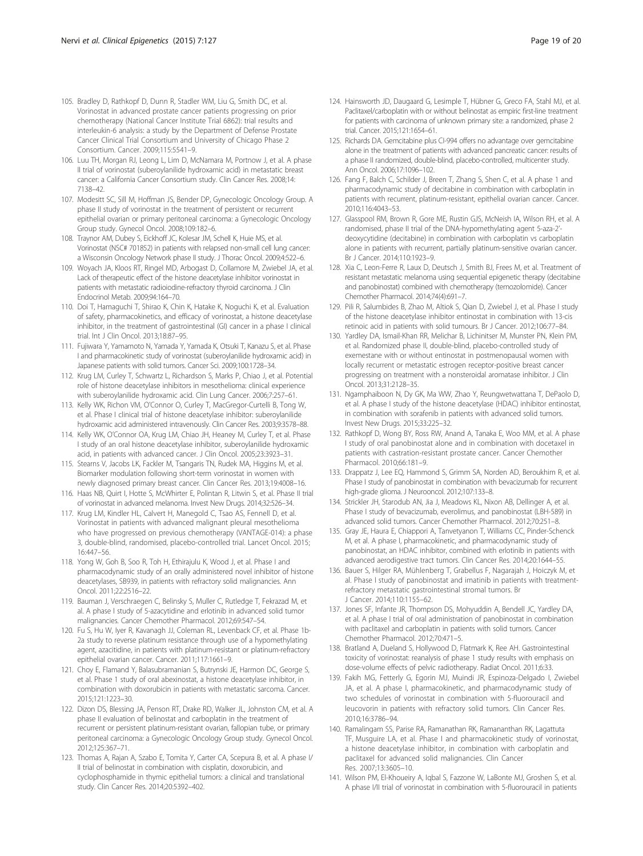- <span id="page-18-0"></span>105. Bradley D, Rathkopf D, Dunn R, Stadler WM, Liu G, Smith DC, et al. Vorinostat in advanced prostate cancer patients progressing on prior chemotherapy (National Cancer Institute Trial 6862): trial results and interleukin-6 analysis: a study by the Department of Defense Prostate Cancer Clinical Trial Consortium and University of Chicago Phase 2 Consortium. Cancer. 2009;115:5541–9.
- 106. Luu TH, Morgan RJ, Leong L, Lim D, McNamara M, Portnow J, et al. A phase II trial of vorinostat (suberoylanilide hydroxamic acid) in metastatic breast cancer: a California Cancer Consortium study. Clin Cancer Res. 2008;14: 7138–42.
- 107. Modesitt SC, Sill M, Hoffman JS, Bender DP, Gynecologic Oncology Group. A phase II study of vorinostat in the treatment of persistent or recurrent epithelial ovarian or primary peritoneal carcinoma: a Gynecologic Oncology Group study. Gynecol Oncol. 2008;109:182–6.
- 108. Traynor AM, Dubey S, Eickhoff JC, Kolesar JM, Schell K, Huie MS, et al. Vorinostat (NSC# 701852) in patients with relapsed non-small cell lung cancer: a Wisconsin Oncology Network phase II study. J Thorac Oncol. 2009;4:522–6.
- 109. Woyach JA, Kloos RT, Ringel MD, Arbogast D, Collamore M, Zwiebel JA, et al. Lack of therapeutic effect of the histone deacetylase inhibitor vorinostat in patients with metastatic radioiodine-refractory thyroid carcinoma. J Clin Endocrinol Metab. 2009;94:164–70.
- 110. Doi T, Hamaguchi T, Shirao K, Chin K, Hatake K, Noguchi K, et al. Evaluation of safety, pharmacokinetics, and efficacy of vorinostat, a histone deacetylase inhibitor, in the treatment of gastrointestinal (GI) cancer in a phase I clinical trial. Int J Clin Oncol. 2013;18:87–95.
- 111. Fujiwara Y, Yamamoto N, Yamada Y, Yamada K, Otsuki T, Kanazu S, et al. Phase I and pharmacokinetic study of vorinostat (suberoylanilide hydroxamic acid) in Japanese patients with solid tumors. Cancer Sci. 2009;100:1728–34.
- 112. Krug LM, Curley T, Schwartz L, Richardson S, Marks P, Chiao J, et al. Potential role of histone deacetylase inhibitors in mesothelioma: clinical experience with suberoylanilide hydroxamic acid. Clin Lung Cancer. 2006;7:257–61.
- 113. Kelly WK, Richon VM, O'Connor O, Curley T, MacGregor-Curtelli B, Tong W, et al. Phase I clinical trial of histone deacetylase inhibitor: suberoylanilide hydroxamic acid administered intravenously. Clin Cancer Res. 2003;9:3578–88.
- 114. Kelly WK, O'Connor OA, Krug LM, Chiao JH, Heaney M, Curley T, et al. Phase I study of an oral histone deacetylase inhibitor, suberoylanilide hydroxamic acid, in patients with advanced cancer. J Clin Oncol. 2005;23:3923–31.
- 115. Stearns V, Jacobs LK, Fackler M, Tsangaris TN, Rudek MA, Higgins M, et al. Biomarker modulation following short-term vorinostat in women with newly diagnosed primary breast cancer. Clin Cancer Res. 2013;19:4008–16.
- 116. Haas NB, Quirt I, Hotte S, McWhirter E, Polintan R, Litwin S, et al. Phase II trial of vorinostat in advanced melanoma. Invest New Drugs. 2014;32:526–34.
- 117. Krug LM, Kindler HL, Calvert H, Manegold C, Tsao AS, Fennell D, et al. Vorinostat in patients with advanced malignant pleural mesothelioma who have progressed on previous chemotherapy (VANTAGE-014): a phase 3, double-blind, randomised, placebo-controlled trial. Lancet Oncol. 2015; 16:447–56.
- 118. Yong W, Goh B, Soo R, Toh H, Ethirajulu K, Wood J, et al. Phase I and pharmacodynamic study of an orally administered novel inhibitor of histone deacetylases, SB939, in patients with refractory solid malignancies. Ann Oncol. 2011;22:2516–22.
- 119. Bauman J, Verschraegen C, Belinsky S, Muller C, Rutledge T, Fekrazad M, et al. A phase I study of 5-azacytidine and erlotinib in advanced solid tumor malignancies. Cancer Chemother Pharmacol. 2012;69:547–54.
- 120. Fu S, Hu W, Iyer R, Kavanagh JJ, Coleman RL, Levenback CF, et al. Phase 1b-2a study to reverse platinum resistance through use of a hypomethylating agent, azacitidine, in patients with platinum-resistant or platinum-refractory epithelial ovarian cancer. Cancer. 2011;117:1661–9.
- 121. Choy E, Flamand Y, Balasubramanian S, Butrynski JE, Harmon DC, George S, et al. Phase 1 study of oral abexinostat, a histone deacetylase inhibitor, in combination with doxorubicin in patients with metastatic sarcoma. Cancer. 2015;121:1223–30.
- 122. Dizon DS, Blessing JA, Penson RT, Drake RD, Walker JL, Johnston CM, et al. A phase II evaluation of belinostat and carboplatin in the treatment of recurrent or persistent platinum-resistant ovarian, fallopian tube, or primary peritoneal carcinoma: a Gynecologic Oncology Group study. Gynecol Oncol. 2012;125:367–71.
- 123. Thomas A, Rajan A, Szabo E, Tomita Y, Carter CA, Scepura B, et al. A phase I/ II trial of belinostat in combination with cisplatin, doxorubicin, and cyclophosphamide in thymic epithelial tumors: a clinical and translational study. Clin Cancer Res. 2014;20:5392–402.
- 124. Hainsworth JD, Daugaard G, Lesimple T, Hübner G, Greco FA, Stahl MJ, et al. Paclitaxel/carboplatin with or without belinostat as empiric first-line treatment for patients with carcinoma of unknown primary site: a randomized, phase 2 trial. Cancer. 2015;121:1654–61.
- 125. Richards DA. Gemcitabine plus CI-994 offers no advantage over gemcitabine alone in the treatment of patients with advanced pancreatic cancer: results of a phase II randomized, double-blind, placebo-controlled, multicenter study. Ann Oncol. 2006;17:1096–102.
- 126. Fang F, Balch C, Schilder J, Breen T, Zhang S, Shen C, et al. A phase 1 and pharmacodynamic study of decitabine in combination with carboplatin in patients with recurrent, platinum-resistant, epithelial ovarian cancer. Cancer. 2010;116:4043–53.
- 127. Glasspool RM, Brown R, Gore ME, Rustin GJS, McNeish IA, Wilson RH, et al. A randomised, phase II trial of the DNA-hypomethylating agent 5-aza-2' deoxycytidine (decitabine) in combination with carboplatin vs carboplatin alone in patients with recurrent, partially platinum-sensitive ovarian cancer. Br J Cancer. 2014;110:1923–9.
- 128. Xia C, Leon-Ferre R, Laux D, Deutsch J, Smith BJ, Frees M, et al. Treatment of resistant metastatic melanoma using sequential epigenetic therapy (decitabine and panobinostat) combined with chemotherapy (temozolomide). Cancer Chemother Pharmacol. 2014;74(4):691–7.
- 129. Pili R, Salumbides B, Zhao M, Altiok S, Qian D, Zwiebel J, et al. Phase I study of the histone deacetylase inhibitor entinostat in combination with 13-cis retinoic acid in patients with solid tumours. Br J Cancer. 2012;106:77–84.
- 130. Yardley DA, Ismail-Khan RR, Melichar B, Lichinitser M, Munster PN, Klein PM, et al. Randomized phase II, double-blind, placebo-controlled study of exemestane with or without entinostat in postmenopausal women with locally recurrent or metastatic estrogen receptor-positive breast cancer progressing on treatment with a nonsteroidal aromatase inhibitor. J Clin Oncol. 2013;31:2128–35.
- 131. Ngamphaiboon N, Dy GK, Ma WW, Zhao Y, Reungwetwattana T, DePaolo D, et al. A phase I study of the histone deacetylase (HDAC) inhibitor entinostat, in combination with sorafenib in patients with advanced solid tumors. Invest New Drugs. 2015;33:225–32.
- 132. Rathkopf D, Wong BY, Ross RW, Anand A, Tanaka E, Woo MM, et al. A phase I study of oral panobinostat alone and in combination with docetaxel in patients with castration-resistant prostate cancer. Cancer Chemother Pharmacol. 2010;66:181–9.
- 133. Drappatz J, Lee EQ, Hammond S, Grimm SA, Norden AD, Beroukhim R, et al. Phase I study of panobinostat in combination with bevacizumab for recurrent high-grade glioma. J Neurooncol. 2012;107:133–8.
- 134. Strickler JH, Starodub AN, Jia J, Meadows KL, Nixon AB, Dellinger A, et al. Phase I study of bevacizumab, everolimus, and panobinostat (LBH-589) in advanced solid tumors. Cancer Chemother Pharmacol. 2012;70:251–8.
- 135. Gray JE, Haura E, Chiappori A, Tanvetyanon T, Williams CC, Pinder-Schenck M, et al. A phase I, pharmacokinetic, and pharmacodynamic study of panobinostat, an HDAC inhibitor, combined with erlotinib in patients with advanced aerodigestive tract tumors. Clin Cancer Res. 2014;20:1644–55.
- 136. Bauer S, Hilger RA, Mühlenberg T, Grabellus F, Nagarajah J, Hoiczyk M, et al. Phase I study of panobinostat and imatinib in patients with treatmentrefractory metastatic gastrointestinal stromal tumors. Br J Cancer. 2014;110:1155–62.
- 137. Jones SF, Infante JR, Thompson DS, Mohyuddin A, Bendell JC, Yardley DA, et al. A phase I trial of oral administration of panobinostat in combination with paclitaxel and carboplatin in patients with solid tumors. Cancer Chemother Pharmacol. 2012;70:471–5.
- 138. Bratland A, Dueland S, Hollywood D, Flatmark K, Ree AH. Gastrointestinal toxicity of vorinostat: reanalysis of phase 1 study results with emphasis on dose-volume effects of pelvic radiotherapy. Radiat Oncol. 2011;6:33.
- 139. Fakih MG, Fetterly G, Egorin MJ, Muindi JR, Espinoza-Delgado I, Zwiebel JA, et al. A phase I, pharmacokinetic, and pharmacodynamic study of two schedules of vorinostat in combination with 5-fluorouracil and leucovorin in patients with refractory solid tumors. Clin Cancer Res. 2010;16:3786–94.
- 140. Ramalingam SS, Parise RA, Ramanathan RK, Ramananthan RK, Lagattuta TF, Musguire LA, et al. Phase I and pharmacokinetic study of vorinostat, a histone deacetylase inhibitor, in combination with carboplatin and paclitaxel for advanced solid malignancies. Clin Cancer Res. 2007;13:3605–10.
- 141. Wilson PM, El-Khoueiry A, Iqbal S, Fazzone W, LaBonte MJ, Groshen S, et al. A phase I/II trial of vorinostat in combination with 5-fluorouracil in patients